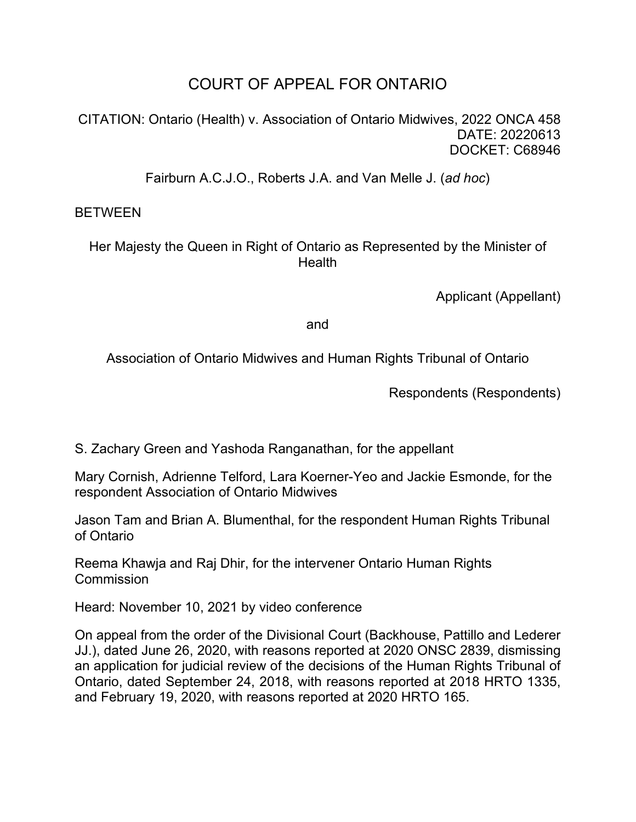# COURT OF APPEAL FOR ONTARIO

CITATION: Ontario (Health) v. Association of Ontario Midwives, 2022 ONCA 458 DATE: 20220613 DOCKET: C68946

Fairburn A.C.J.O., Roberts J.A. and Van Melle J. (*ad hoc*)

# **BETWEEN**

Her Majesty the Queen in Right of Ontario as Represented by the Minister of **Health** 

Applicant (Appellant)

and

Association of Ontario Midwives and Human Rights Tribunal of Ontario

Respondents (Respondents)

S. Zachary Green and Yashoda Ranganathan, for the appellant

Mary Cornish, Adrienne Telford, Lara Koerner-Yeo and Jackie Esmonde, for the respondent Association of Ontario Midwives

Jason Tam and Brian A. Blumenthal, for the respondent Human Rights Tribunal of Ontario

Reema Khawja and Raj Dhir, for the intervener Ontario Human Rights **Commission** 

Heard: November 10, 2021 by video conference

On appeal from the order of the Divisional Court (Backhouse, Pattillo and Lederer JJ.), dated June 26, 2020, with reasons reported at 2020 ONSC 2839, dismissing an application for judicial review of the decisions of the Human Rights Tribunal of Ontario, dated September 24, 2018, with reasons reported at 2018 HRTO 1335, and February 19, 2020, with reasons reported at 2020 HRTO 165.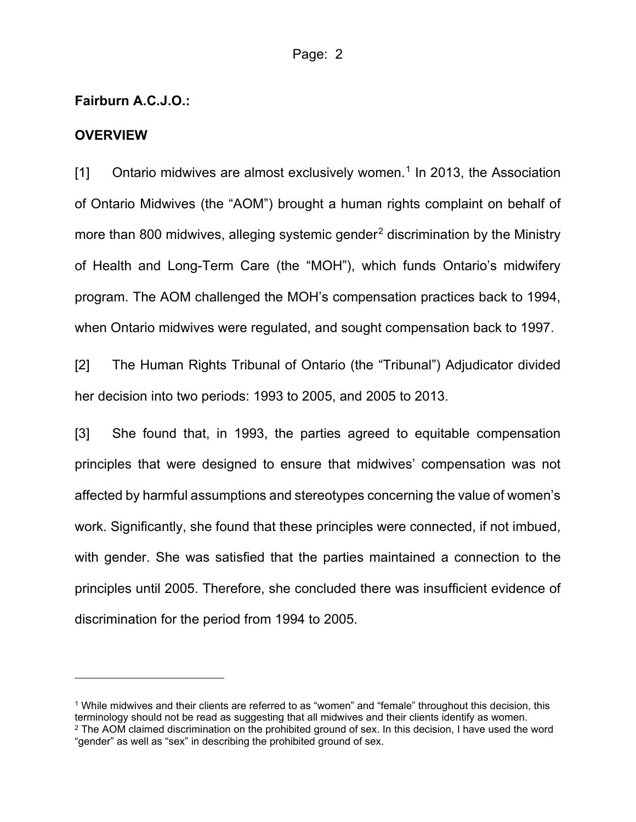### **Fairburn A.C.J.O.:**

#### **OVERVIEW**

[1] Ontario midwives are almost exclusively women. [1](#page-1-0) In 2013, the Association of Ontario Midwives (the "AOM") brought a human rights complaint on behalf of more than 800 midwives, alleging systemic gender<sup>[2](#page-1-1)</sup> discrimination by the Ministry of Health and Long-Term Care (the "MOH"), which funds Ontario's midwifery program. The AOM challenged the MOH's compensation practices back to 1994, when Ontario midwives were regulated, and sought compensation back to 1997.

[2] The Human Rights Tribunal of Ontario (the "Tribunal") Adjudicator divided her decision into two periods: 1993 to 2005, and 2005 to 2013.

[3] She found that, in 1993, the parties agreed to equitable compensation principles that were designed to ensure that midwives' compensation was not affected by harmful assumptions and stereotypes concerning the value of women's work. Significantly, she found that these principles were connected, if not imbued, with gender. She was satisfied that the parties maintained a connection to the principles until 2005. Therefore, she concluded there was insufficient evidence of discrimination for the period from 1994 to 2005.

<span id="page-1-1"></span><span id="page-1-0"></span><sup>1</sup> While midwives and their clients are referred to as "women" and "female" throughout this decision, this terminology should not be read as suggesting that all midwives and their clients identify as women. <sup>2</sup> The AOM claimed discrimination on the prohibited ground of sex. In this decision, I have used the word "gender" as well as "sex" in describing the prohibited ground of sex.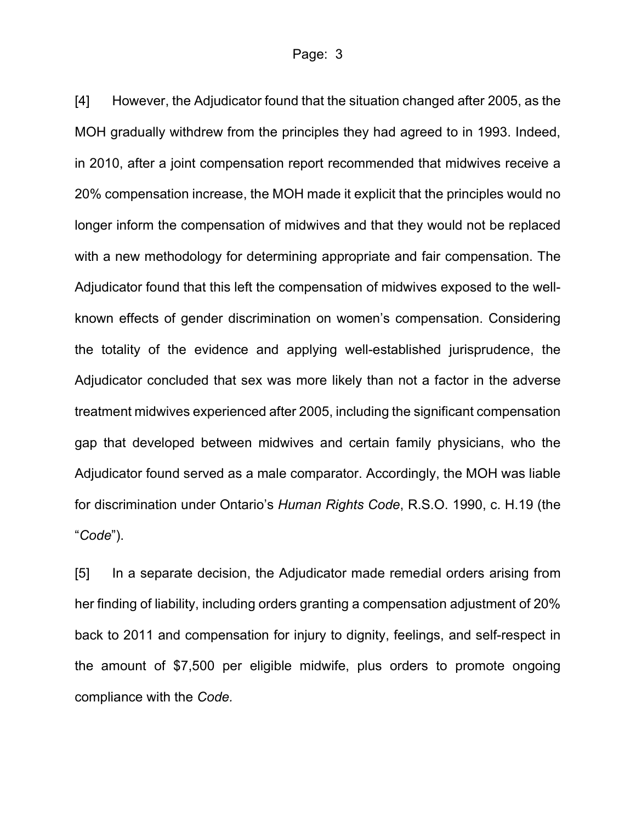[4] However, the Adjudicator found that the situation changed after 2005, as the MOH gradually withdrew from the principles they had agreed to in 1993. Indeed, in 2010, after a joint compensation report recommended that midwives receive a 20% compensation increase, the MOH made it explicit that the principles would no longer inform the compensation of midwives and that they would not be replaced with a new methodology for determining appropriate and fair compensation. The Adjudicator found that this left the compensation of midwives exposed to the wellknown effects of gender discrimination on women's compensation. Considering the totality of the evidence and applying well-established jurisprudence, the Adjudicator concluded that sex was more likely than not a factor in the adverse treatment midwives experienced after 2005, including the significant compensation gap that developed between midwives and certain family physicians, who the Adjudicator found served as a male comparator. Accordingly, the MOH was liable for discrimination under Ontario's *Human Rights Code*, R.S.O. 1990, c. H.19 (the "*Code*").

[5] In a separate decision, the Adjudicator made remedial orders arising from her finding of liability, including orders granting a compensation adjustment of 20% back to 2011 and compensation for injury to dignity, feelings, and self-respect in the amount of \$7,500 per eligible midwife, plus orders to promote ongoing compliance with the *Code.*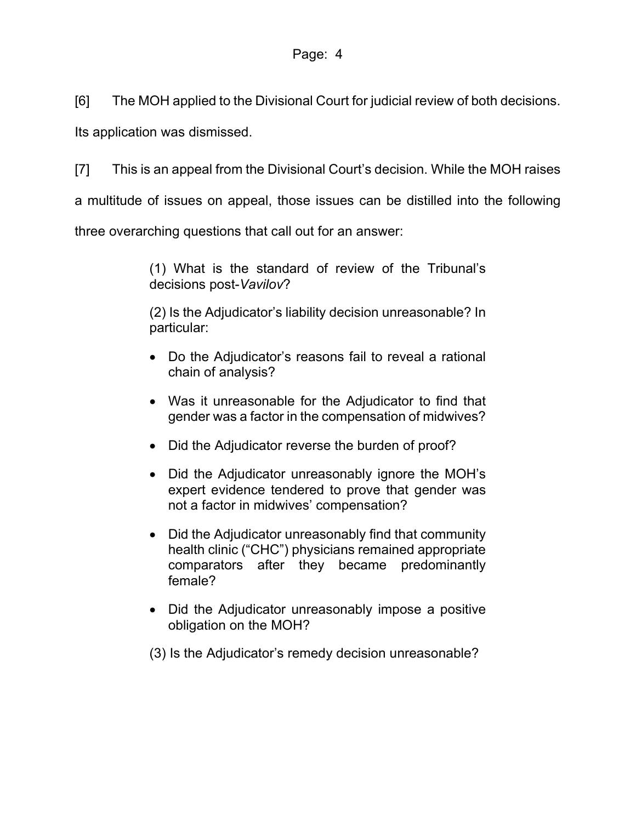[6] The MOH applied to the Divisional Court for judicial review of both decisions.

Its application was dismissed.

[7] This is an appeal from the Divisional Court's decision. While the MOH raises

a multitude of issues on appeal, those issues can be distilled into the following

three overarching questions that call out for an answer:

(1) What is the standard of review of the Tribunal's decisions post-*Vavilov*?

(2) Is the Adjudicator's liability decision unreasonable? In particular:

- Do the Adjudicator's reasons fail to reveal a rational chain of analysis?
- Was it unreasonable for the Adjudicator to find that gender was a factor in the compensation of midwives?
- Did the Adjudicator reverse the burden of proof?
- Did the Adjudicator unreasonably ignore the MOH's expert evidence tendered to prove that gender was not a factor in midwives' compensation?
- Did the Adjudicator unreasonably find that community health clinic ("CHC") physicians remained appropriate comparators after they became predominantly female?
- Did the Adjudicator unreasonably impose a positive obligation on the MOH?
- (3) Is the Adjudicator's remedy decision unreasonable?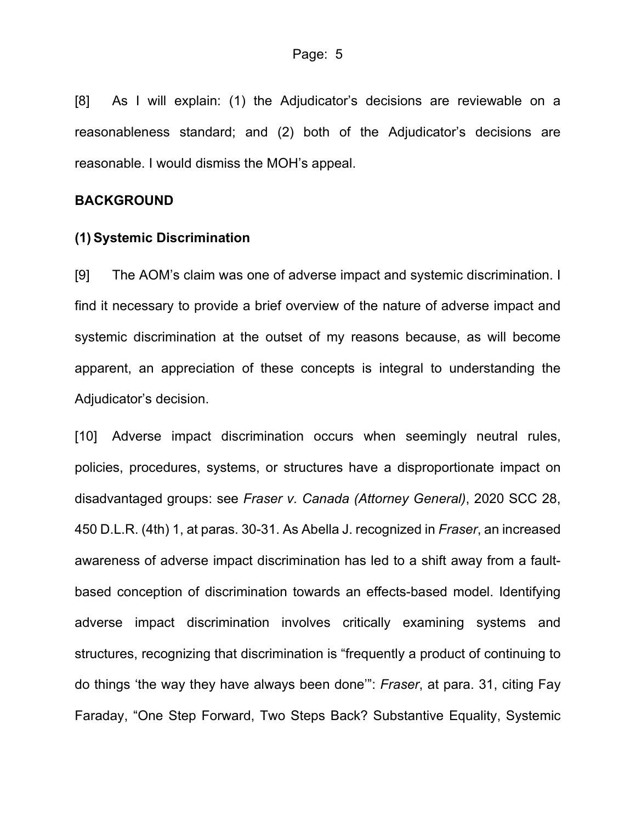[8] As I will explain: (1) the Adjudicator's decisions are reviewable on a reasonableness standard; and (2) both of the Adjudicator's decisions are reasonable. I would dismiss the MOH's appeal.

## **BACKGROUND**

#### **(1) Systemic Discrimination**

[9] The AOM's claim was one of adverse impact and systemic discrimination. I find it necessary to provide a brief overview of the nature of adverse impact and systemic discrimination at the outset of my reasons because, as will become apparent, an appreciation of these concepts is integral to understanding the Adjudicator's decision.

[10] Adverse impact discrimination occurs when seemingly neutral rules, policies, procedures, systems, or structures have a disproportionate impact on disadvantaged groups: see *Fraser v. Canada (Attorney General)*, 2020 SCC 28, 450 D.L.R. (4th) 1, at paras. 30-31. As Abella J. recognized in *Fraser*, an increased awareness of adverse impact discrimination has led to a shift away from a faultbased conception of discrimination towards an effects-based model. Identifying adverse impact discrimination involves critically examining systems and structures, recognizing that discrimination is "frequently a product of continuing to do things 'the way they have always been done'": *Fraser*, at para. 31, citing Fay Faraday, "One Step Forward, Two Steps Back? Substantive Equality, Systemic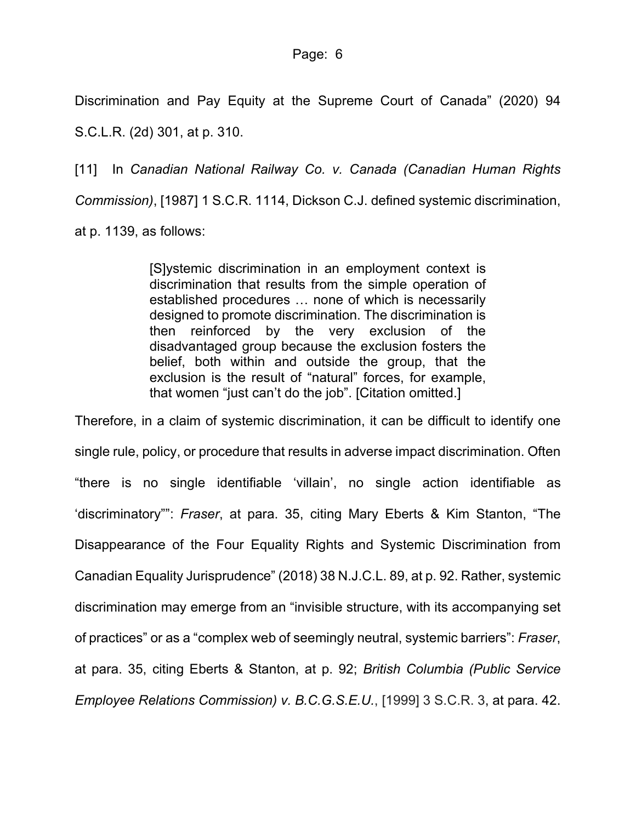Discrimination and Pay Equity at the Supreme Court of Canada" (2020) 94 S.C.L.R. (2d) 301, at p. 310.

[11] In *Canadian National Railway Co. v. Canada (Canadian Human Rights Commission)*, [1987] 1 S.C.R. 1114, Dickson C.J. defined systemic discrimination, at p. 1139, as follows:

> [S]ystemic discrimination in an employment context is discrimination that results from the simple operation of established procedures … none of which is necessarily designed to promote discrimination. The discrimination is then reinforced by the very exclusion of the disadvantaged group because the exclusion fosters the belief, both within and outside the group, that the exclusion is the result of "natural" forces, for example, that women "just can't do the job". [Citation omitted.]

Therefore, in a claim of systemic discrimination, it can be difficult to identify one single rule, policy, or procedure that results in adverse impact discrimination. Often "there is no single identifiable 'villain', no single action identifiable as 'discriminatory"": *Fraser*, at para. 35, citing Mary Eberts & Kim Stanton, "The Disappearance of the Four Equality Rights and Systemic Discrimination from Canadian Equality Jurisprudence" (2018) 38 N.J.C.L. 89, at p. 92. Rather, systemic discrimination may emerge from an "invisible structure, with its accompanying set of practices" or as a "complex web of seemingly neutral, systemic barriers": *Fraser*, at para. 35, citing Eberts & Stanton, at p. 92; *British Columbia (Public Service Employee Relations Commission) v. B.C.G.S.E.U.*, [1999] 3 S.C.R. 3, at para. 42.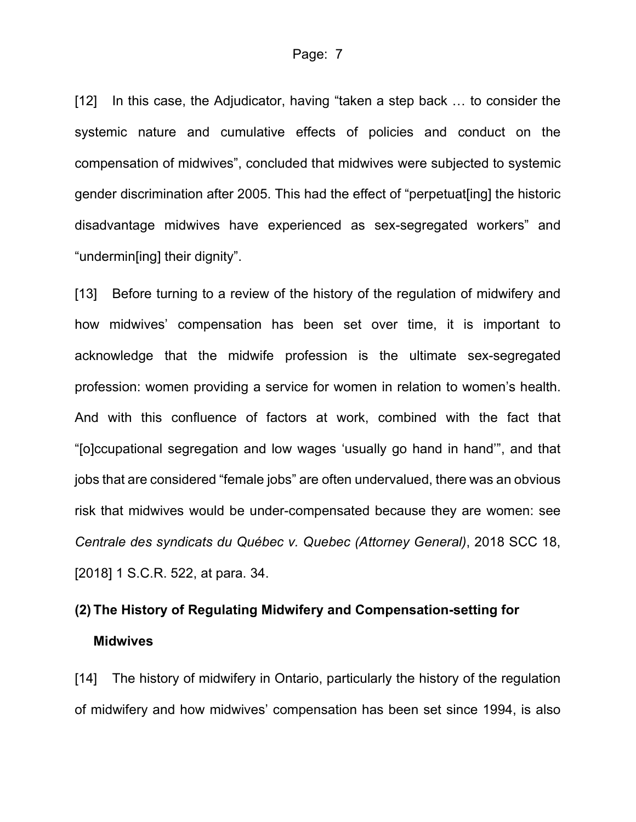[12] In this case, the Adjudicator, having "taken a step back ... to consider the systemic nature and cumulative effects of policies and conduct on the compensation of midwives", concluded that midwives were subjected to systemic gender discrimination after 2005. This had the effect of "perpetuat[ing] the historic disadvantage midwives have experienced as sex-segregated workers" and "undermin[ing] their dignity".

[13] Before turning to a review of the history of the regulation of midwifery and how midwives' compensation has been set over time, it is important to acknowledge that the midwife profession is the ultimate sex-segregated profession: women providing a service for women in relation to women's health. And with this confluence of factors at work, combined with the fact that "[o]ccupational segregation and low wages 'usually go hand in hand'", and that jobs that are considered "female jobs" are often undervalued, there was an obvious risk that midwives would be under-compensated because they are women: see *Centrale des syndicats du Québec v. Quebec (Attorney General)*, 2018 SCC 18, [2018] 1 S.C.R. 522, at para. 34.

# **(2) The History of Regulating Midwifery and Compensation-setting for Midwives**

[14] The history of midwifery in Ontario, particularly the history of the regulation of midwifery and how midwives' compensation has been set since 1994, is also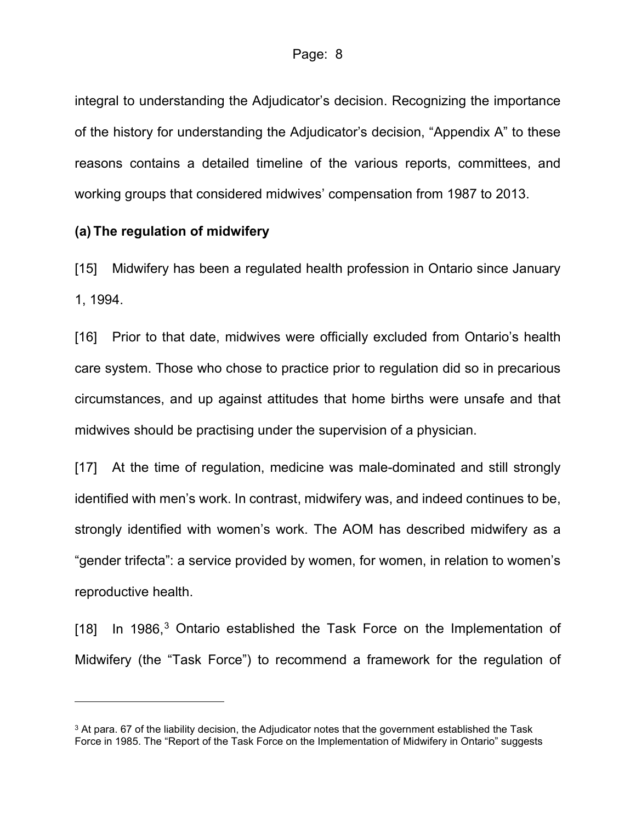integral to understanding the Adjudicator's decision. Recognizing the importance of the history for understanding the Adjudicator's decision, "Appendix A" to these reasons contains a detailed timeline of the various reports, committees, and working groups that considered midwives' compensation from 1987 to 2013.

#### **(a) The regulation of midwifery**

[15] Midwifery has been a regulated health profession in Ontario since January 1, 1994.

[16] Prior to that date, midwives were officially excluded from Ontario's health care system. Those who chose to practice prior to regulation did so in precarious circumstances, and up against attitudes that home births were unsafe and that midwives should be practising under the supervision of a physician.

[17] At the time of regulation, medicine was male-dominated and still strongly identified with men's work. In contrast, midwifery was, and indeed continues to be, strongly identified with women's work. The AOM has described midwifery as a "gender trifecta": a service provided by women, for women, in relation to women's reproductive health.

[18] In 1986, $3$  Ontario established the Task Force on the Implementation of Midwifery (the "Task Force") to recommend a framework for the regulation of

<span id="page-7-0"></span><sup>&</sup>lt;sup>3</sup> At para. 67 of the liability decision, the Adjudicator notes that the government established the Task Force in 1985. The "Report of the Task Force on the Implementation of Midwifery in Ontario" suggests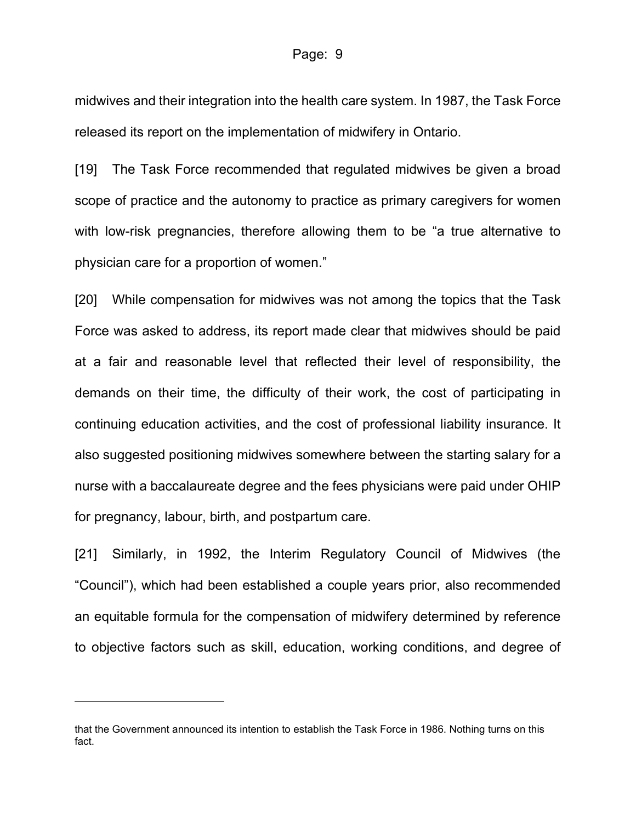midwives and their integration into the health care system. In 1987, the Task Force released its report on the implementation of midwifery in Ontario.

[19] The Task Force recommended that regulated midwives be given a broad scope of practice and the autonomy to practice as primary caregivers for women with low-risk pregnancies, therefore allowing them to be "a true alternative to physician care for a proportion of women."

[20] While compensation for midwives was not among the topics that the Task Force was asked to address, its report made clear that midwives should be paid at a fair and reasonable level that reflected their level of responsibility, the demands on their time, the difficulty of their work, the cost of participating in continuing education activities, and the cost of professional liability insurance. It also suggested positioning midwives somewhere between the starting salary for a nurse with a baccalaureate degree and the fees physicians were paid under OHIP for pregnancy, labour, birth, and postpartum care.

[21] Similarly, in 1992, the Interim Regulatory Council of Midwives (the "Council"), which had been established a couple years prior, also recommended an equitable formula for the compensation of midwifery determined by reference to objective factors such as skill, education, working conditions, and degree of

that the Government announced its intention to establish the Task Force in 1986. Nothing turns on this fact.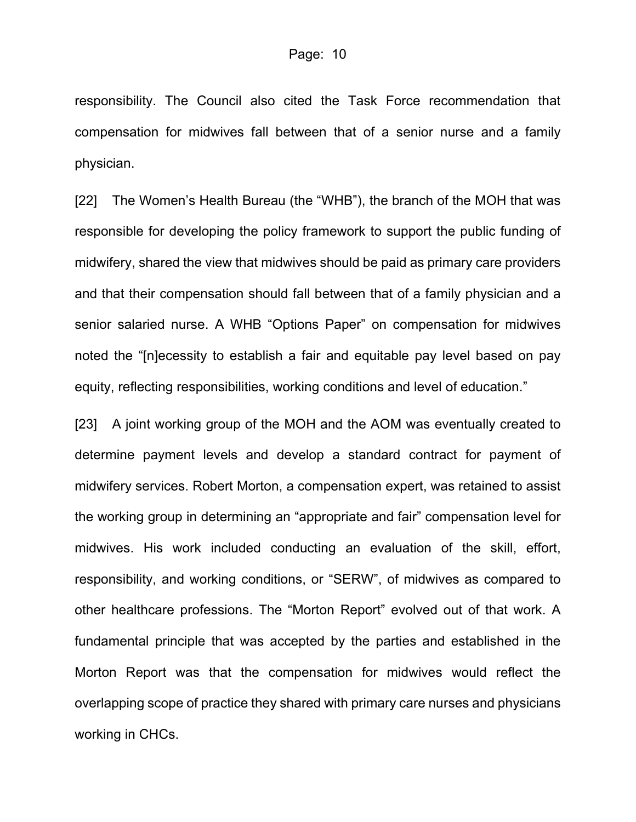responsibility. The Council also cited the Task Force recommendation that compensation for midwives fall between that of a senior nurse and a family physician.

[22] The Women's Health Bureau (the "WHB"), the branch of the MOH that was responsible for developing the policy framework to support the public funding of midwifery, shared the view that midwives should be paid as primary care providers and that their compensation should fall between that of a family physician and a senior salaried nurse. A WHB "Options Paper" on compensation for midwives noted the "[n]ecessity to establish a fair and equitable pay level based on pay equity, reflecting responsibilities, working conditions and level of education."

[23] A joint working group of the MOH and the AOM was eventually created to determine payment levels and develop a standard contract for payment of midwifery services. Robert Morton, a compensation expert, was retained to assist the working group in determining an "appropriate and fair" compensation level for midwives. His work included conducting an evaluation of the skill, effort, responsibility, and working conditions, or "SERW", of midwives as compared to other healthcare professions. The "Morton Report" evolved out of that work. A fundamental principle that was accepted by the parties and established in the Morton Report was that the compensation for midwives would reflect the overlapping scope of practice they shared with primary care nurses and physicians working in CHCs.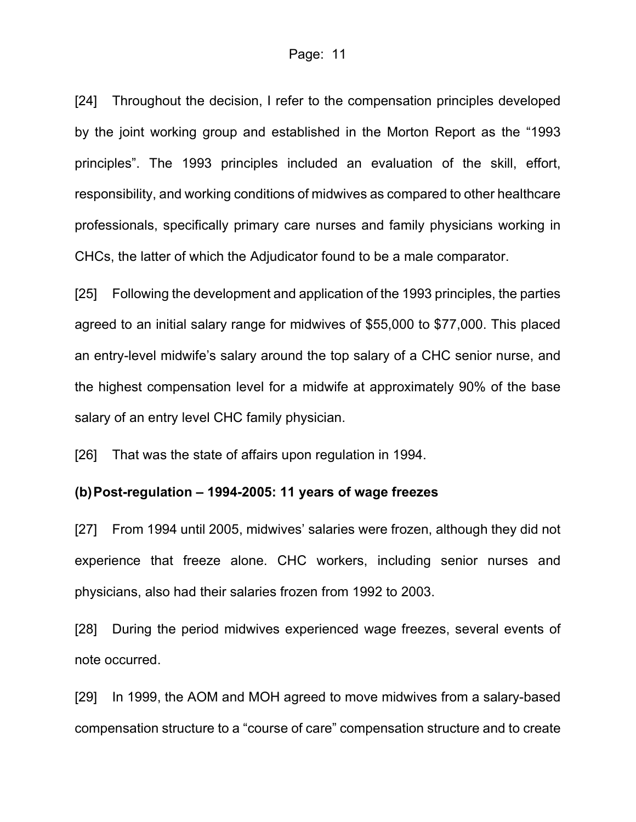#### Page: 11

[24] Throughout the decision, I refer to the compensation principles developed by the joint working group and established in the Morton Report as the "1993 principles". The 1993 principles included an evaluation of the skill, effort, responsibility, and working conditions of midwives as compared to other healthcare professionals, specifically primary care nurses and family physicians working in CHCs, the latter of which the Adjudicator found to be a male comparator.

[25] Following the development and application of the 1993 principles, the parties agreed to an initial salary range for midwives of \$55,000 to \$77,000. This placed an entry-level midwife's salary around the top salary of a CHC senior nurse, and the highest compensation level for a midwife at approximately 90% of the base salary of an entry level CHC family physician.

[26] That was the state of affairs upon regulation in 1994.

## **(b)Post-regulation – 1994-2005: 11 years of wage freezes**

[27] From 1994 until 2005, midwives' salaries were frozen, although they did not experience that freeze alone. CHC workers, including senior nurses and physicians, also had their salaries frozen from 1992 to 2003.

[28] During the period midwives experienced wage freezes, several events of note occurred.

[29] In 1999, the AOM and MOH agreed to move midwives from a salary-based compensation structure to a "course of care" compensation structure and to create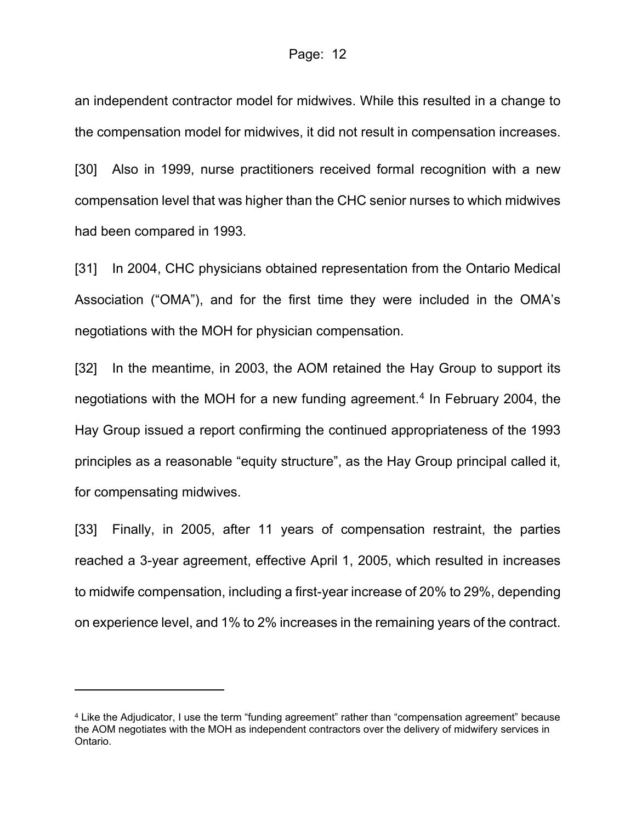an independent contractor model for midwives. While this resulted in a change to the compensation model for midwives, it did not result in compensation increases.

[30] Also in 1999, nurse practitioners received formal recognition with a new compensation level that was higher than the CHC senior nurses to which midwives had been compared in 1993.

[31] In 2004, CHC physicians obtained representation from the Ontario Medical Association ("OMA"), and for the first time they were included in the OMA's negotiations with the MOH for physician compensation.

[32] In the meantime, in 2003, the AOM retained the Hay Group to support its negotiations with the MOH for a new funding agreement.<sup>[4](#page-11-0)</sup> In February 2004, the Hay Group issued a report confirming the continued appropriateness of the 1993 principles as a reasonable "equity structure", as the Hay Group principal called it, for compensating midwives.

[33] Finally, in 2005, after 11 years of compensation restraint, the parties reached a 3-year agreement, effective April 1, 2005, which resulted in increases to midwife compensation, including a first-year increase of 20% to 29%, depending on experience level, and 1% to 2% increases in the remaining years of the contract.

<span id="page-11-0"></span><sup>4</sup> Like the Adjudicator, I use the term "funding agreement" rather than "compensation agreement" because the AOM negotiates with the MOH as independent contractors over the delivery of midwifery services in Ontario.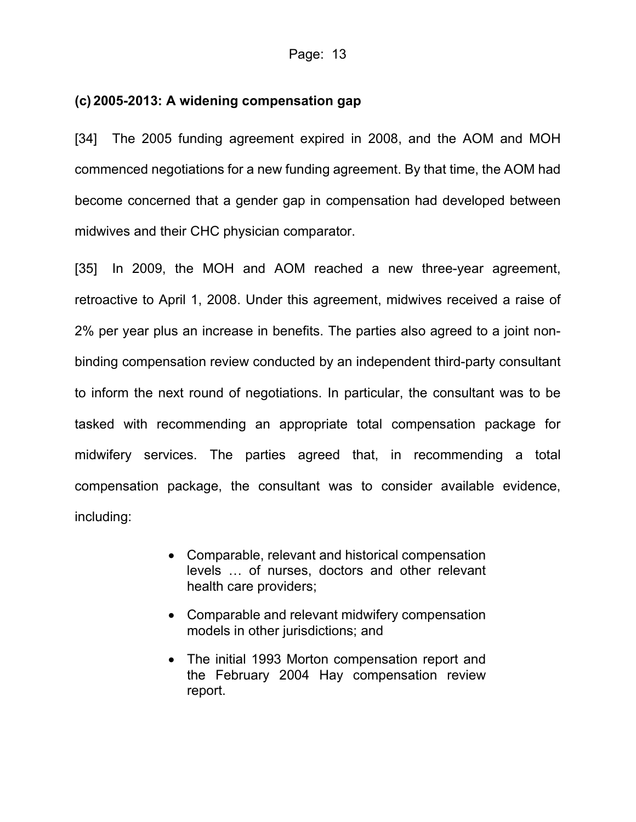## **(c) 2005-2013: A widening compensation gap**

[34] The 2005 funding agreement expired in 2008, and the AOM and MOH commenced negotiations for a new funding agreement. By that time, the AOM had become concerned that a gender gap in compensation had developed between midwives and their CHC physician comparator.

[35] In 2009, the MOH and AOM reached a new three-year agreement, retroactive to April 1, 2008. Under this agreement, midwives received a raise of 2% per year plus an increase in benefits. The parties also agreed to a joint nonbinding compensation review conducted by an independent third-party consultant to inform the next round of negotiations. In particular, the consultant was to be tasked with recommending an appropriate total compensation package for midwifery services. The parties agreed that, in recommending a total compensation package, the consultant was to consider available evidence, including:

- Comparable, relevant and historical compensation levels … of nurses, doctors and other relevant health care providers;
- Comparable and relevant midwifery compensation models in other jurisdictions; and
- The initial 1993 Morton compensation report and the February 2004 Hay compensation review report.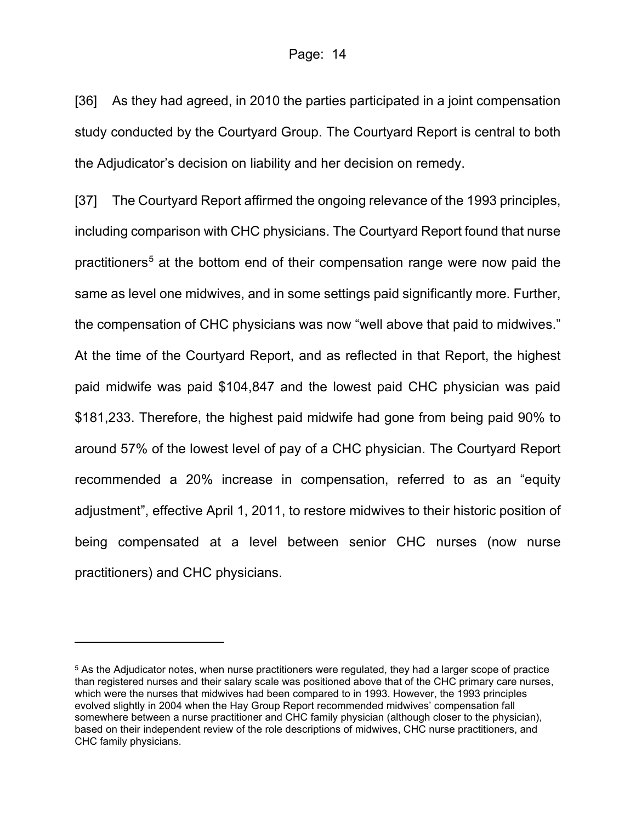[36] As they had agreed, in 2010 the parties participated in a joint compensation study conducted by the Courtyard Group. The Courtyard Report is central to both the Adjudicator's decision on liability and her decision on remedy.

[37] The Courtyard Report affirmed the ongoing relevance of the 1993 principles, including comparison with CHC physicians. The Courtyard Report found that nurse practitioners<sup>[5](#page-13-0)</sup> at the bottom end of their compensation range were now paid the same as level one midwives, and in some settings paid significantly more. Further, the compensation of CHC physicians was now "well above that paid to midwives." At the time of the Courtyard Report, and as reflected in that Report, the highest paid midwife was paid \$104,847 and the lowest paid CHC physician was paid \$181,233. Therefore, the highest paid midwife had gone from being paid 90% to around 57% of the lowest level of pay of a CHC physician. The Courtyard Report recommended a 20% increase in compensation, referred to as an "equity adjustment", effective April 1, 2011, to restore midwives to their historic position of being compensated at a level between senior CHC nurses (now nurse practitioners) and CHC physicians.

<span id="page-13-0"></span><sup>5</sup> As the Adjudicator notes, when nurse practitioners were regulated, they had a larger scope of practice than registered nurses and their salary scale was positioned above that of the CHC primary care nurses, which were the nurses that midwives had been compared to in 1993. However, the 1993 principles evolved slightly in 2004 when the Hay Group Report recommended midwives' compensation fall somewhere between a nurse practitioner and CHC family physician (although closer to the physician), based on their independent review of the role descriptions of midwives, CHC nurse practitioners, and CHC family physicians.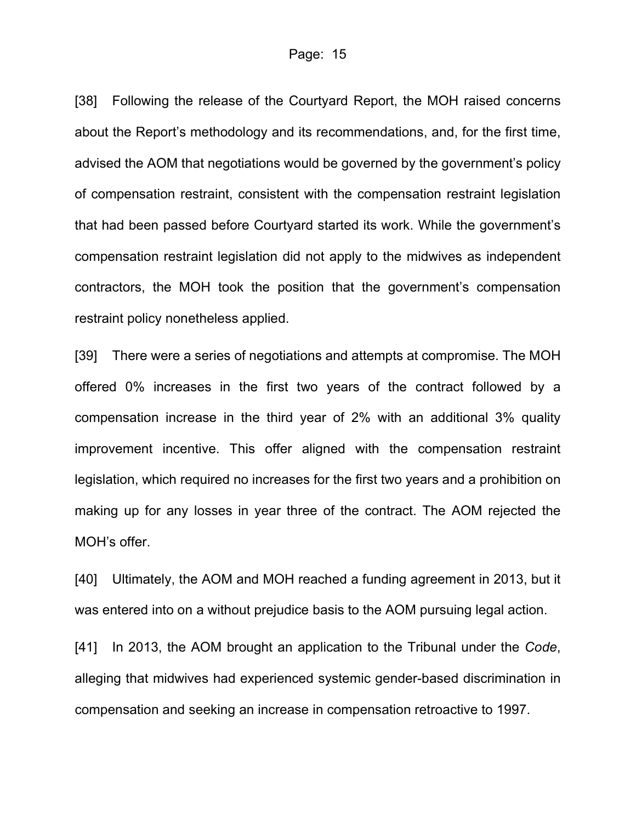[38] Following the release of the Courtyard Report, the MOH raised concerns about the Report's methodology and its recommendations, and, for the first time, advised the AOM that negotiations would be governed by the government's policy of compensation restraint, consistent with the compensation restraint legislation that had been passed before Courtyard started its work. While the government's compensation restraint legislation did not apply to the midwives as independent contractors, the MOH took the position that the government's compensation restraint policy nonetheless applied.

[39] There were a series of negotiations and attempts at compromise. The MOH offered 0% increases in the first two years of the contract followed by a compensation increase in the third year of 2% with an additional 3% quality improvement incentive. This offer aligned with the compensation restraint legislation, which required no increases for the first two years and a prohibition on making up for any losses in year three of the contract. The AOM rejected the MOH's offer.

[40] Ultimately, the AOM and MOH reached a funding agreement in 2013, but it was entered into on a without prejudice basis to the AOM pursuing legal action.

[41] In 2013, the AOM brought an application to the Tribunal under the *Code*, alleging that midwives had experienced systemic gender-based discrimination in compensation and seeking an increase in compensation retroactive to 1997.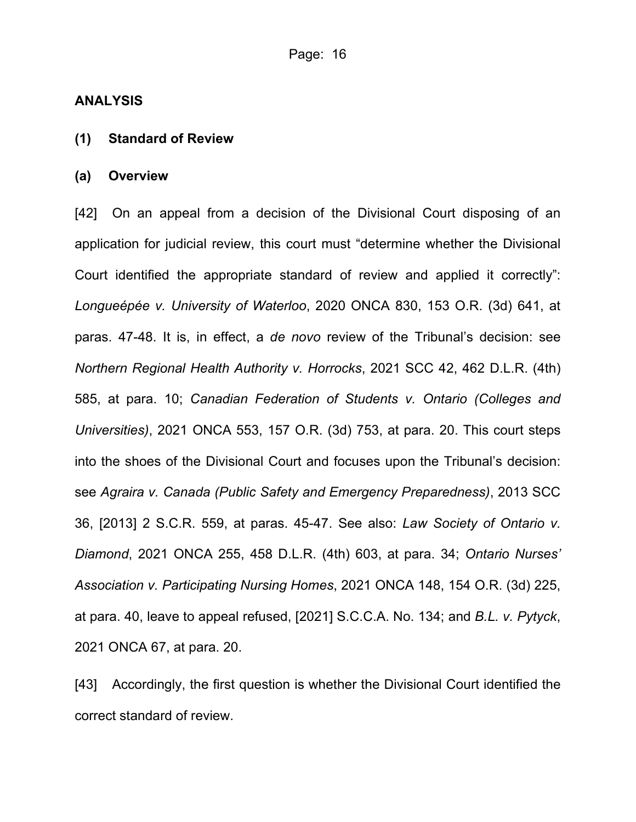#### **ANALYSIS**

#### **(1) Standard of Review**

#### **(a) Overview**

[42] On an appeal from a decision of the Divisional Court disposing of an application for judicial review, this court must "determine whether the Divisional Court identified the appropriate standard of review and applied it correctly": *Longueépée v. University of Waterloo*, 2020 ONCA 830, 153 O.R. (3d) 641, at paras. 47-48. It is, in effect, a *de novo* review of the Tribunal's decision: see *Northern Regional Health Authority v. Horrocks*, 2021 SCC 42, 462 D.L.R. (4th) 585, at para. 10; *Canadian Federation of Students v. Ontario (Colleges and Universities)*, 2021 ONCA 553, 157 O.R. (3d) 753, at para. 20. This court steps into the shoes of the Divisional Court and focuses upon the Tribunal's decision: see *Agraira v. Canada (Public Safety and Emergency Preparedness)*, 2013 SCC 36, [2013] 2 S.C.R. 559, at paras. 45-47. See also: *Law Society of Ontario v. Diamond*, 2021 ONCA 255, 458 D.L.R. (4th) 603, at para. 34; *Ontario Nurses' Association v. Participating Nursing Homes*, 2021 ONCA 148, 154 O.R. (3d) 225, at para. 40, leave to appeal refused, [2021] S.C.C.A. No. 134; and *B.L. v. Pytyck*, 2021 ONCA 67, at para. 20.

[43] Accordingly, the first question is whether the Divisional Court identified the correct standard of review.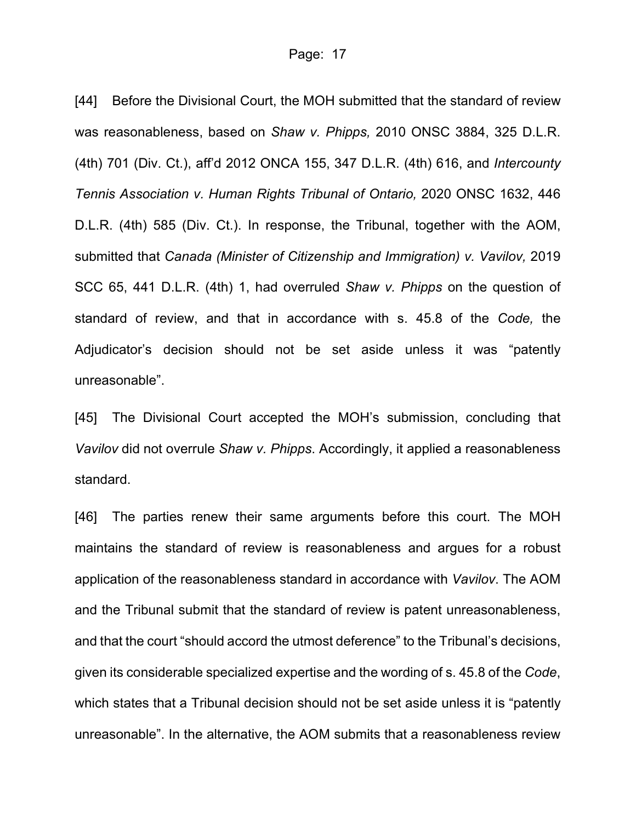[44] Before the Divisional Court, the MOH submitted that the standard of review was reasonableness, based on *Shaw v. Phipps,* 2010 ONSC 3884, 325 D.L.R. (4th) 701 (Div. Ct.), aff'd 2012 ONCA 155, 347 D.L.R. (4th) 616, and *Intercounty Tennis Association v. Human Rights Tribunal of Ontario,* 2020 ONSC 1632, 446 D.L.R. (4th) 585 (Div. Ct.). In response, the Tribunal, together with the AOM, submitted that *Canada (Minister of Citizenship and Immigration) v. Vavilov,* 2019 SCC 65, 441 D.L.R. (4th) 1, had overruled *Shaw v. Phipps* on the question of standard of review, and that in accordance with s. 45.8 of the *Code,* the Adjudicator's decision should not be set aside unless it was "patently unreasonable".

[45] The Divisional Court accepted the MOH's submission, concluding that *Vavilov* did not overrule *Shaw v. Phipps*. Accordingly, it applied a reasonableness standard.

[46] The parties renew their same arguments before this court. The MOH maintains the standard of review is reasonableness and argues for a robust application of the reasonableness standard in accordance with *Vavilov*. The AOM and the Tribunal submit that the standard of review is patent unreasonableness, and that the court "should accord the utmost deference" to the Tribunal's decisions, given its considerable specialized expertise and the wording of s. 45.8 of the *Code*, which states that a Tribunal decision should not be set aside unless it is "patently unreasonable". In the alternative, the AOM submits that a reasonableness review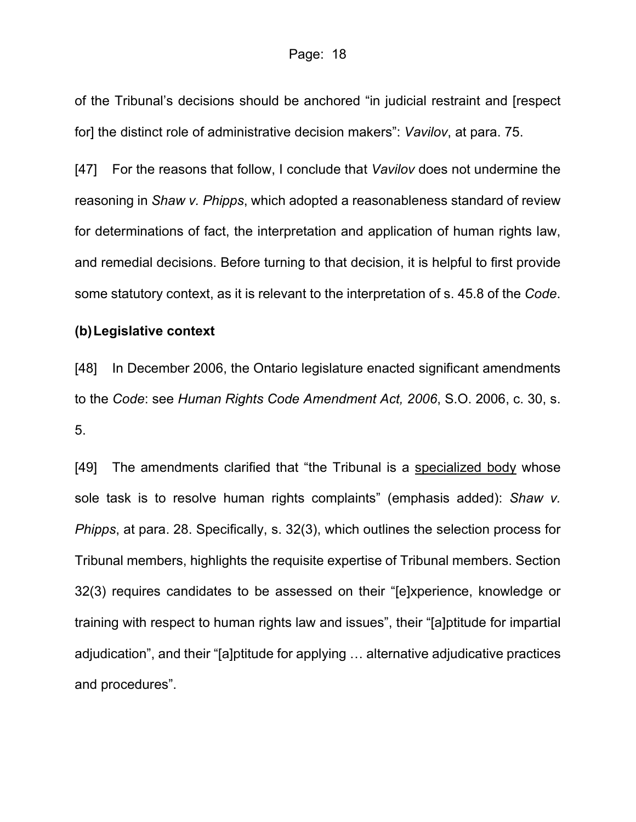of the Tribunal's decisions should be anchored "in judicial restraint and [respect for] the distinct role of administrative decision makers": *Vavilov*, at para. 75.

[47] For the reasons that follow, I conclude that *Vavilov* does not undermine the reasoning in *Shaw v. Phipps*, which adopted a reasonableness standard of review for determinations of fact, the interpretation and application of human rights law, and remedial decisions. Before turning to that decision, it is helpful to first provide some statutory context, as it is relevant to the interpretation of s. 45.8 of the *Code*.

#### **(b) Legislative context**

[48] In December 2006, the Ontario legislature enacted significant amendments to the *Code*: see *Human Rights Code Amendment Act, 2006*, S.O. 2006, c. 30, s. 5.

[49] The amendments clarified that "the Tribunal is a specialized body whose sole task is to resolve human rights complaints" (emphasis added): *Shaw v. Phipps*, at para. 28. Specifically, s. 32(3), which outlines the selection process for Tribunal members, highlights the requisite expertise of Tribunal members. Section 32(3) requires candidates to be assessed on their "[e]xperience, knowledge or training with respect to human rights law and issues", their "[a]ptitude for impartial adjudication", and their "[a]ptitude for applying … alternative adjudicative practices and procedures".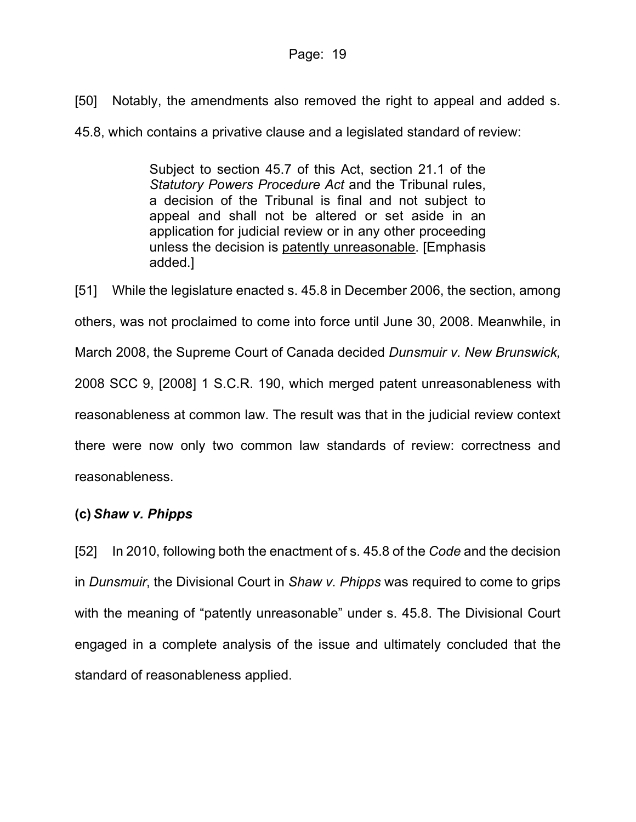[50] Notably, the amendments also removed the right to appeal and added s.

45.8, which contains a privative clause and a legislated standard of review:

Subject to section 45.7 of this Act, section 21.1 of the *Statutory Powers Procedure Act* and the Tribunal rules, a decision of the Tribunal is final and not subject to appeal and shall not be altered or set aside in an application for judicial review or in any other proceeding unless the decision is patently unreasonable. [Emphasis added.]

[51] While the legislature enacted s. 45.8 in December 2006, the section, among others, was not proclaimed to come into force until June 30, 2008. Meanwhile, in March 2008, the Supreme Court of Canada decided *Dunsmuir v. New Brunswick,* 2008 SCC 9, [\[2008\] 1 S.C.R. 190,](https://advance.lexis.com/api/document?collection=cases-ca&id=urn:contentItem:5F8T-N3V1-JTGH-B1BH-00000-00&context=1505209) which merged patent unreasonableness with reasonableness at common law. The result was that in the judicial review context there were now only two common law standards of review: correctness and reasonableness.

# **(c)** *Shaw v. Phipps*

[52] In 2010, following both the enactment of s. 45.8 of the *Code* and the decision in *Dunsmuir*, the Divisional Court in *Shaw v. Phipps* was required to come to grips with the meaning of "patently unreasonable" under s. 45.8. The Divisional Court engaged in a complete analysis of the issue and ultimately concluded that the standard of reasonableness applied.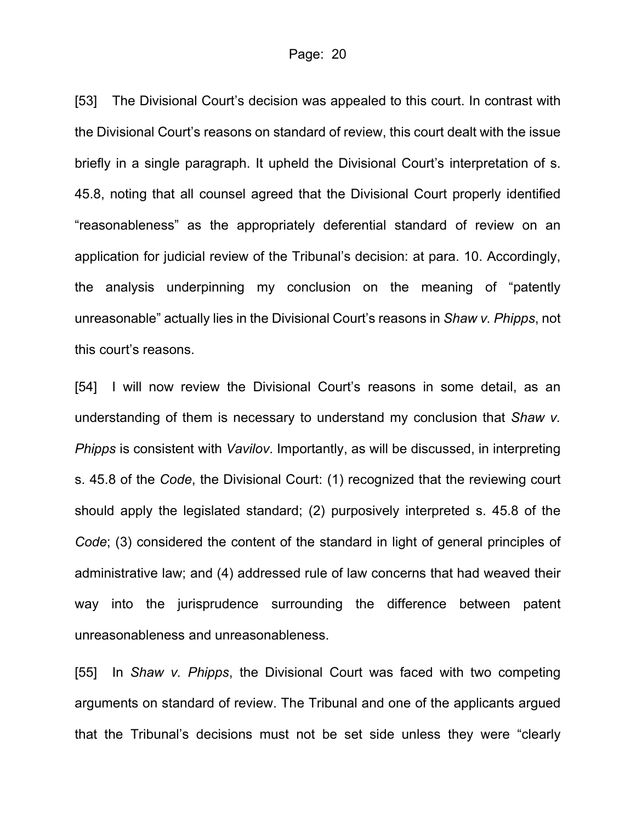[53] The Divisional Court's decision was appealed to this court. In contrast with the Divisional Court's reasons on standard of review, this court dealt with the issue briefly in a single paragraph. It upheld the Divisional Court's interpretation of s. 45.8, noting that all counsel agreed that the Divisional Court properly identified "reasonableness" as the appropriately deferential standard of review on an application for judicial review of the Tribunal's decision: at para. 10. Accordingly, the analysis underpinning my conclusion on the meaning of "patently unreasonable" actually lies in the Divisional Court's reasons in *Shaw v. Phipps*, not this court's reasons.

[54] I will now review the Divisional Court's reasons in some detail, as an understanding of them is necessary to understand my conclusion that *Shaw v. Phipps* is consistent with *Vavilov*. Importantly, as will be discussed, in interpreting s. 45.8 of the *Code*, the Divisional Court: (1) recognized that the reviewing court should apply the legislated standard; (2) purposively interpreted s. 45.8 of the *Code*; (3) considered the content of the standard in light of general principles of administrative law; and (4) addressed rule of law concerns that had weaved their way into the jurisprudence surrounding the difference between patent unreasonableness and unreasonableness.

[55] In *Shaw v. Phipps*, the Divisional Court was faced with two competing arguments on standard of review. The Tribunal and one of the applicants argued that the Tribunal's decisions must not be set side unless they were "clearly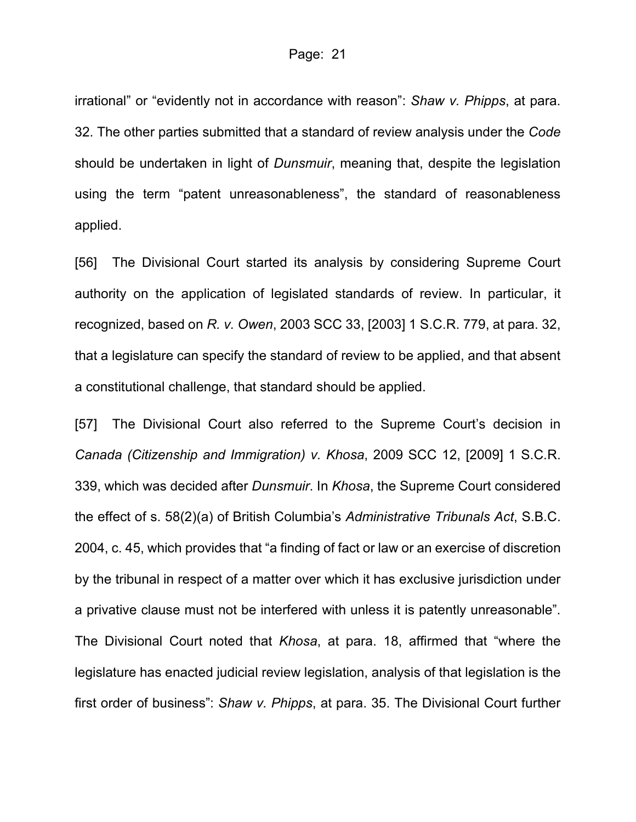irrational" or "evidently not in accordance with reason": *Shaw v. Phipps*, at para. 32. The other parties submitted that a standard of review analysis under the *Code* should be undertaken in light of *Dunsmuir*, meaning that, despite the legislation using the term "patent unreasonableness", the standard of reasonableness applied.

[56] The Divisional Court started its analysis by considering Supreme Court authority on the application of legislated standards of review. In particular, it recognized, based on *R. v. Owen*, 2003 SCC 33, [2003] 1 S.C.R. 779, at para. 32, that a legislature can specify the standard of review to be applied, and that absent a constitutional challenge, that standard should be applied.

[57] The Divisional Court also referred to the Supreme Court's decision in *Canada (Citizenship and Immigration) v. Khosa*, 2009 SCC 12, [2009] 1 S.C.R. 339, which was decided after *Dunsmuir*. In *Khosa*, the Supreme Court considered the effect of s. 58(2)(a) of British Columbia's *Administrative Tribunals Act*, S.B.C. 2004, c. 45, which provides that "a finding of fact or law or an exercise of discretion by the tribunal in respect of a matter over which it has exclusive jurisdiction under a privative clause must not be interfered with unless it is patently unreasonable". The Divisional Court noted that *Khosa*, at para. 18, affirmed that "where the legislature has enacted judicial review legislation, analysis of that legislation is the first order of business": *Shaw v. Phipps*, at para. 35. The Divisional Court further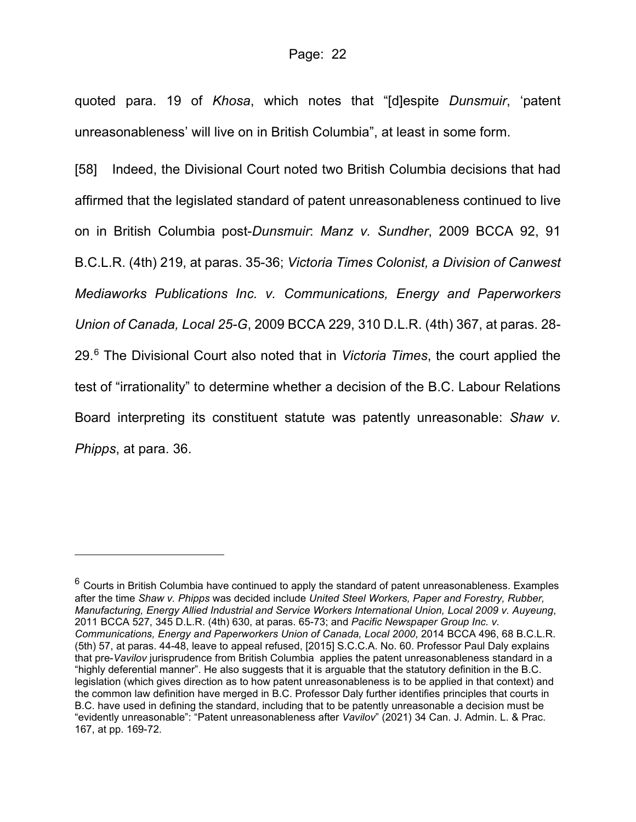quoted para. 19 of *Khosa*, which notes that "[d]espite *Dunsmuir*, 'patent unreasonableness' will live on in British Columbia", at least in some form.

[58] Indeed, the Divisional Court noted two British Columbia decisions that had affirmed that the legislated standard of patent unreasonableness continued to live on in British Columbia post-*Dunsmuir*: *Manz v. Sundher*[, 2009 BCCA 92, 91](https://nextcanada.westlaw.com/Document/I654a78fe83582732e0440003ba0d6c6d/View/FullText.html?originationContext=typeAhead&transitionType=Default&contextData=(sc.Default))  [B.C.L.R. \(4th\) 219,](https://nextcanada.westlaw.com/Document/I654a78fe83582732e0440003ba0d6c6d/View/FullText.html?originationContext=typeAhead&transitionType=Default&contextData=(sc.Default)) at paras. 35-36; *[Victoria Times Colonist, a Division of Canwest](https://nextcanada.westlaw.com/Document/I6adf81ac95312331e0440003bacbe8c1/View/FullText.html?originationContext=typeAhead&transitionType=Default&contextData=(sc.Default))  [Mediaworks Publications Inc. v. Communications, Energy and Paperworkers](https://nextcanada.westlaw.com/Document/I6adf81ac95312331e0440003bacbe8c1/View/FullText.html?originationContext=typeAhead&transitionType=Default&contextData=(sc.Default))  Union of Canada, Local 25-G*[, 2009 BCCA 229, 310 D.L.R. \(4th\) 367,](https://nextcanada.westlaw.com/Document/I6adf81ac95312331e0440003bacbe8c1/View/FullText.html?originationContext=typeAhead&transitionType=Default&contextData=(sc.Default)) at paras. 28- 29. [6](#page-21-0) The Divisional Court also noted that in *Victoria Times*, the court applied the test of "irrationality" to determine whether a decision of the B.C. Labour Relations Board interpreting its constituent statute was patently unreasonable: *Shaw v. Phipps*, at para. 36.

<span id="page-21-0"></span> $6$  Courts in British Columbia have continued to apply the standard of patent unreasonableness. Examples after the time *Shaw v. Phipps* was decided include *[United Steel Workers, Paper and Forestry, Rubber,](https://nextcanada.westlaw.com/Document/Ib5be77b1d9990bdee0440021280d79ee/View/FullText.html?originationContext=typeAhead&transitionType=Default&contextData=(sc.Default))  [Manufacturing, Energy Allied Industrial and Service Workers International Union, Local 2009](https://nextcanada.westlaw.com/Document/Ib5be77b1d9990bdee0440021280d79ee/View/FullText.html?originationContext=typeAhead&transitionType=Default&contextData=(sc.Default)) v. Auyeung*, [2011 BCCA 527, 345](https://nextcanada.westlaw.com/Document/Ib5be77b1d9990bdee0440021280d79ee/View/FullText.html?originationContext=typeAhead&transitionType=Default&contextData=(sc.Default)) D.L.R. (4th) 630, at paras. 65-73; and *[Pacific Newspaper Group Inc. v.](https://nextcanada.westlaw.com/Document/I0a8b5da36d3767b2e0540021280d79ee/View/FullText.html?originationContext=typeAhead&transitionType=Default&contextData=(sc.Default))  Communications, [Energy and Paperworkers Union of Canada, Local 2000](https://nextcanada.westlaw.com/Document/I0a8b5da36d3767b2e0540021280d79ee/View/FullText.html?originationContext=typeAhead&transitionType=Default&contextData=(sc.Default))*, 2014 BCCA 496, 68 B.C.L.R. [\(5th\) 57,](https://nextcanada.westlaw.com/Document/I0a8b5da36d3767b2e0540021280d79ee/View/FullText.html?originationContext=typeAhead&transitionType=Default&contextData=(sc.Default)) at paras. 44-48, leave to appeal refused, [2015] S.C.C.A. No. 60. Professor Paul Daly explains that pre-*Vavilov* jurisprudence from British Columbia applies the patent unreasonableness standard in a "highly deferential manner". He also suggests that it is arguable that the statutory definition in the B.C. legislation (which gives direction as to how patent unreasonableness is to be applied in that context) and the common law definition have merged in B.C. Professor Daly further identifies principles that courts in B.C. have used in defining the standard, including that to be patently unreasonable a decision must be "evidently unreasonable": "Patent unreasonableness after *Vavilov*" (2021) 34 Can. J. Admin. L. & Prac. 167, at pp. 169-72.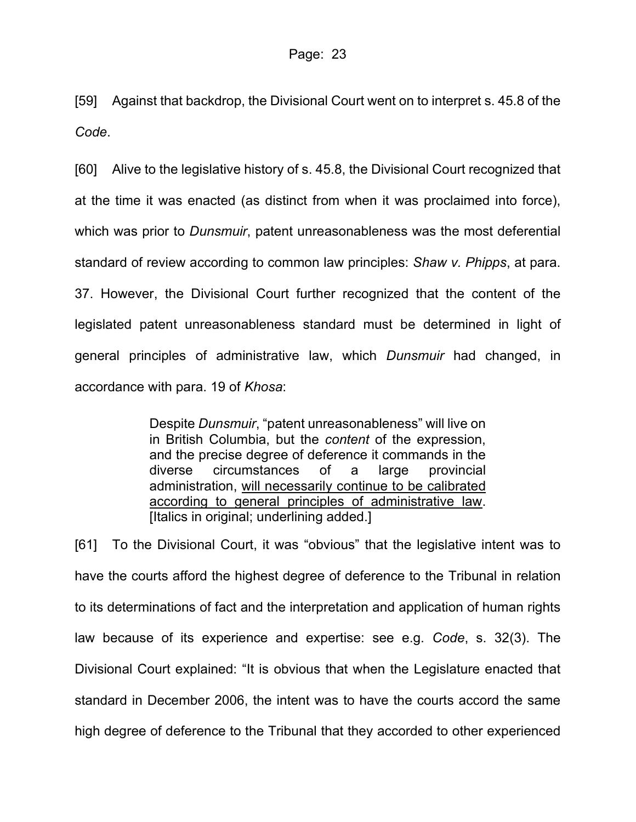[59] Against that backdrop, the Divisional Court went on to interpret s. 45.8 of the *Code*.

[60] Alive to the legislative history of s. 45.8, the Divisional Court recognized that at the time it was enacted (as distinct from when it was proclaimed into force), which was prior to *Dunsmuir*, patent unreasonableness was the most deferential standard of review according to common law principles: *Shaw v. Phipps*, at para. 37. However, the Divisional Court further recognized that the content of the legislated patent unreasonableness standard must be determined in light of general principles of administrative law, which *Dunsmuir* had changed, in accordance with para. 19 of *Khosa*:

> Despite *Dunsmuir*, "patent unreasonableness" will live on in British Columbia, but the *content* of the expression, and the precise degree of deference it commands in the diverse circumstances of a large provincial administration, will necessarily continue to be calibrated according to general principles of administrative law. [Italics in original; underlining added.]

[61] To the Divisional Court, it was "obvious" that the legislative intent was to have the courts afford the highest degree of deference to the Tribunal in relation to its determinations of fact and the interpretation and application of human rights law because of its experience and expertise: see e.g. *Code*, s. 32(3). The Divisional Court explained: "It is obvious that when the Legislature enacted that standard in December 2006, the intent was to have the courts accord the same high degree of deference to the Tribunal that they accorded to other experienced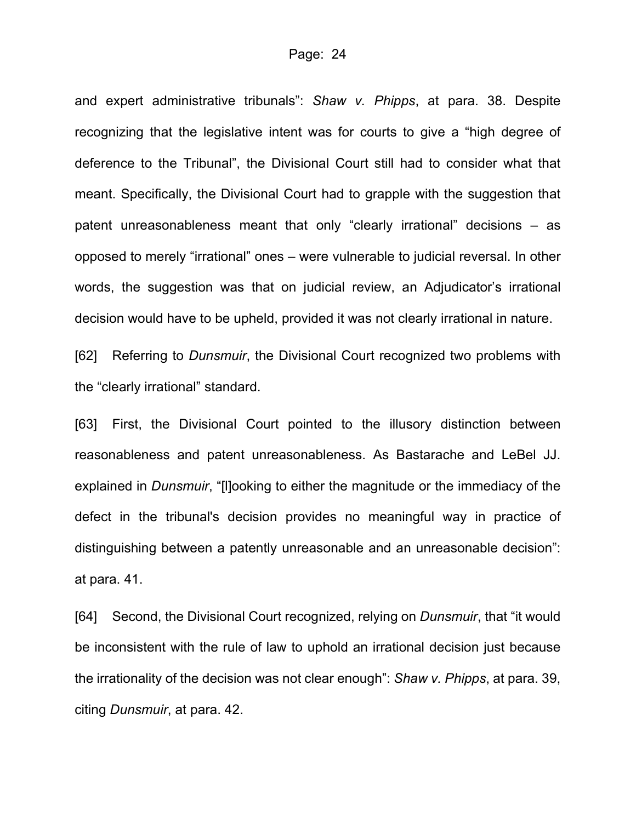and expert administrative tribunals": *Shaw v. Phipps*, at para. 38. Despite recognizing that the legislative intent was for courts to give a "high degree of deference to the Tribunal", the Divisional Court still had to consider what that meant. Specifically, the Divisional Court had to grapple with the suggestion that patent unreasonableness meant that only "clearly irrational" decisions – as opposed to merely "irrational" ones – were vulnerable to judicial reversal. In other words, the suggestion was that on judicial review, an Adjudicator's irrational decision would have to be upheld, provided it was not clearly irrational in nature.

[62] Referring to *Dunsmuir*, the Divisional Court recognized two problems with the "clearly irrational" standard.

[63] First, the Divisional Court pointed to the illusory distinction between reasonableness and patent unreasonableness. As Bastarache and LeBel JJ. explained in *Dunsmuir*, "[l]ooking to either the magnitude or the immediacy of the defect in the tribunal's decision provides no meaningful way in practice of distinguishing between a patently unreasonable and an unreasonable decision": at para. 41.

[64] Second, the Divisional Court recognized, relying on *Dunsmuir*, that "it would be inconsistent with the rule of law to uphold an irrational decision just because the irrationality of the decision was not clear enough": *Shaw v. Phipps*, at para. 39, citing *Dunsmuir*, at para. 42.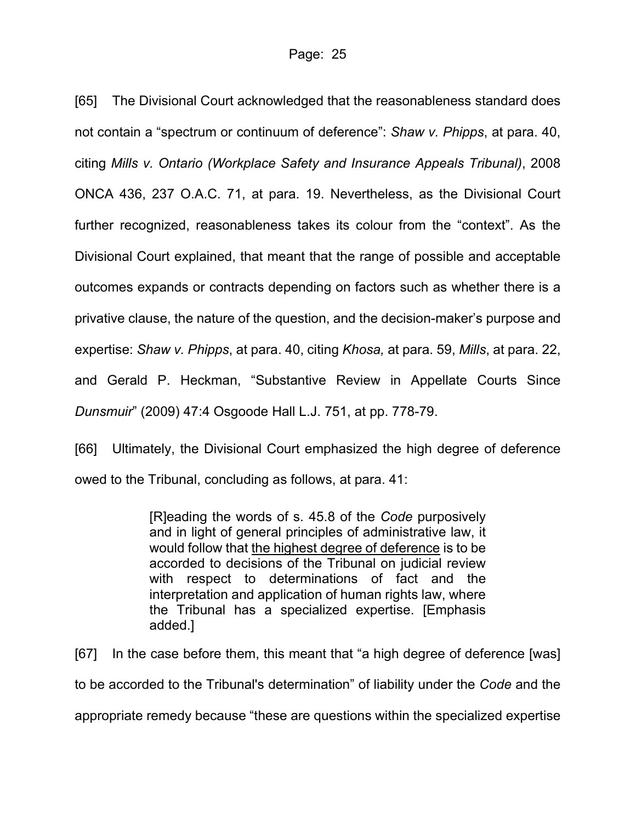[65] The Divisional Court acknowledged that the reasonableness standard does not contain a "spectrum or continuum of deference": *Shaw v. Phipps*, at para. 40, citing *Mills v. Ontario (Workplace Safety and Insurance Appeals Tribunal)*, 2008 ONCA 436, 237 O.A.C. 71, at para. 19. Nevertheless, as the Divisional Court further recognized, reasonableness takes its colour from the "context". As the Divisional Court explained, that meant that the range of possible and acceptable outcomes expands or contracts depending on factors such as whether there is a privative clause, the nature of the question, and the decision-maker's purpose and expertise: *Shaw v. Phipps*, at para. 40, citing *Khosa,* at para. 59, *Mills*, at para. 22, and Gerald P. Heckman, "Substantive Review in Appellate Courts Since *Dunsmuir*" (2009) 47:4 Osgoode Hall L.J. 751, at pp. 778-79.

[66] Ultimately, the Divisional Court emphasized the high degree of deference owed to the Tribunal, concluding as follows, at para. 41:

> [R]eading the words of s. 45.8 of the *Code* purposively and in light of general principles of administrative law, it would follow that the highest degree of deference is to be accorded to decisions of the Tribunal on judicial review with respect to determinations of fact and the interpretation and application of human rights law, where the Tribunal has a specialized expertise. [Emphasis added.]

[67] In the case before them, this meant that "a high degree of deference [was] to be accorded to the Tribunal's determination" of liability under the *Code* and the appropriate remedy because "these are questions within the specialized expertise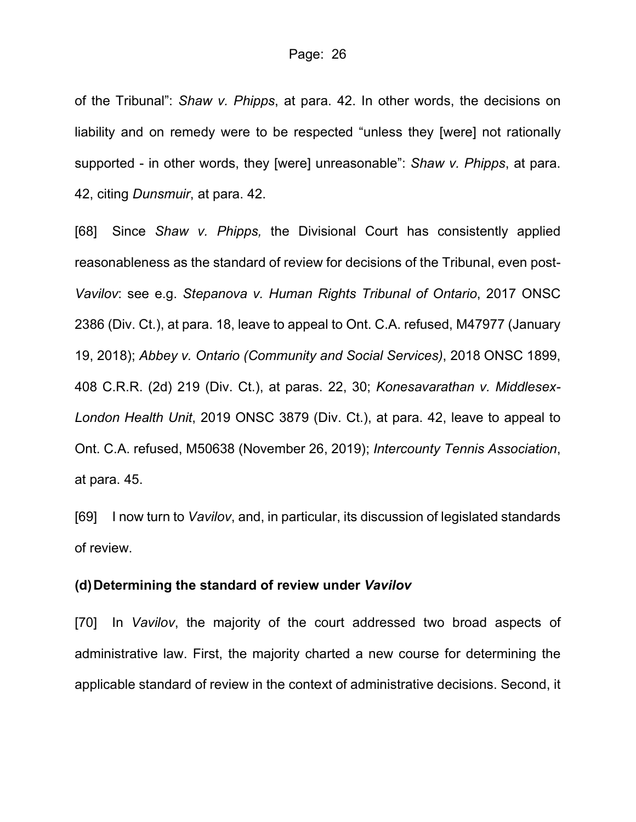of the Tribunal": *Shaw v. Phipps*, at para. 42. In other words, the decisions on liability and on remedy were to be respected "unless they [were] not rationally supported - in other words, they [were] unreasonable": *Shaw v. Phipps*, at para. 42, citing *Dunsmuir*, at para. 42.

[68] Since *Shaw v. Phipps,* the Divisional Court has consistently applied reasonableness as the standard of review for decisions of the Tribunal, even post-*Vavilov*: see e.g. *[Stepanova v. Human Rights Tribunal of Ontario](https://nextcanada.westlaw.com/Document/I50a0f4b4e11b266ae0540021280d7cce/View/FullText.html?originationContext=typeAhead&transitionType=Default&contextData=(sc.Default))*, 2017 ONSC [2386 \(Div. Ct.\),](https://nextcanada.westlaw.com/Document/I50a0f4b4e11b266ae0540021280d7cce/View/FullText.html?originationContext=typeAhead&transitionType=Default&contextData=(sc.Default)) at para. 18, leave to appeal to Ont. C.A. refused, M47977 (January 19, 2018); *[Abbey v. Ontario \(Community and Social Services\)](https://nextcanada.westlaw.com/Document/I6810907b2d1d0874e0540021280d7cce/View/FullText.html?originationContext=kcJudicialHistory&transitionType=Document&contextData=(sc.Default)&docSource=80b4bd62b2db486b9d535d442146c64e&rulebookMode=false)*, 2018 ONSC 1899, [408 C.R.R. \(2d\) 219 \(Div. Ct.\),](https://nextcanada.westlaw.com/Document/I6810907b2d1d0874e0540021280d7cce/View/FullText.html?originationContext=kcJudicialHistory&transitionType=Document&contextData=(sc.Default)&docSource=80b4bd62b2db486b9d535d442146c64e&rulebookMode=false) at paras. 22, 30; *[Konesavarathan v. Middlesex-](https://nextcanada.westlaw.com/Document/I8cbeebadee18343ae0540010e03eefe2/View/FullText.html?originationContext=typeAhead&transitionType=Default&contextData=(sc.Default))London Health Unit*[, 2019 ONSC 3879 \(Div. Ct.\),](https://nextcanada.westlaw.com/Document/I8cbeebadee18343ae0540010e03eefe2/View/FullText.html?originationContext=typeAhead&transitionType=Default&contextData=(sc.Default)) at para. 42, leave to appeal to Ont. C.A. refused, M50638 (November 26, 2019); *[Intercounty Tennis Association](http://canlii.ca/t/j6cdk)*, at para. 45.

[69] I now turn to *Vavilov*, and, in particular, its discussion of legislated standards of review.

#### **(d)Determining the standard of review under** *Vavilov*

[70] In *Vavilov*, the majority of the court addressed two broad aspects of administrative law. First, the majority charted a new course for determining the applicable standard of review in the context of administrative decisions. Second, it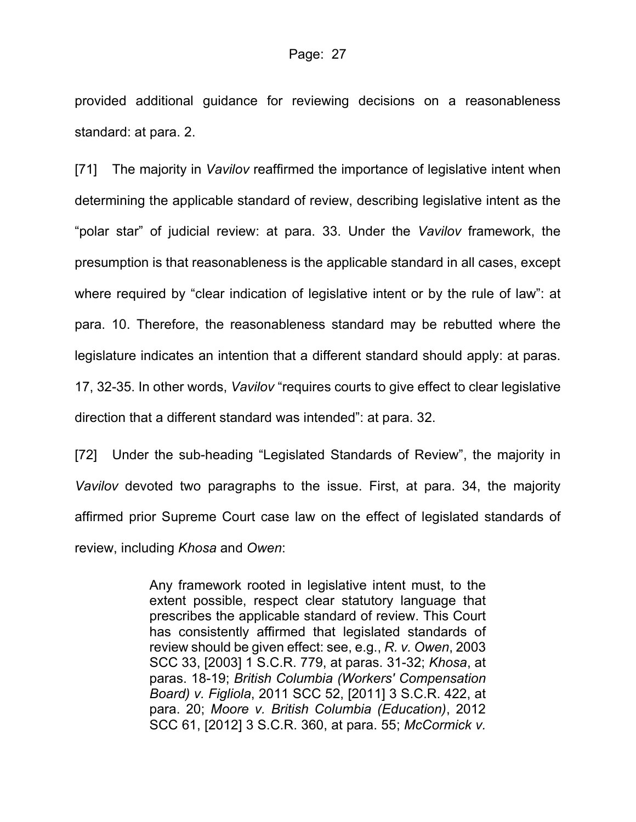provided additional guidance for reviewing decisions on a reasonableness standard: at para. 2.

[71] The majority in *Vavilov* reaffirmed the importance of legislative intent when determining the applicable standard of review, describing legislative intent as the "polar star" of judicial review: at para. 33. Under the *Vavilov* framework, the presumption is that reasonableness is the applicable standard in all cases, except where required by "clear indication of legislative intent or by the rule of law": at para. 10. Therefore, the reasonableness standard may be rebutted where the legislature indicates an intention that a different standard should apply: at paras. 17, 32-35. In other words, *Vavilov* "requires courts to give effect to clear legislative direction that a different standard was intended": at para. 32.

[72] Under the sub-heading "Legislated Standards of Review", the majority in *Vavilov* devoted two paragraphs to the issue. First, at para. 34, the majority affirmed prior Supreme Court case law on the effect of legislated standards of review, including *Khosa* and *Owen*:

> Any framework rooted in legislative intent must, to the extent possible, respect clear statutory language that prescribes the applicable standard of review. This Court has consistently affirmed that legislated standards of review should be given effect: see, e.g., *R. v. Owen*, [2003](https://advance.lexis.com/api/document?collection=cases-ca&id=urn:contentItem:5F8T-N3V1-FC1F-M4GC-00000-00&context=1505209)  [SCC 33, \[2003\] 1 S.C.R. 779,](https://advance.lexis.com/api/document?collection=cases-ca&id=urn:contentItem:5F8T-N3V1-FC1F-M4GC-00000-00&context=1505209) at paras. 31-32; *Khosa*, at paras. 18-19; *British Columbia (Workers' Compensation Board) v. Figliola*, [2011 SCC 52, \[2011\] 3 S.C.R. 422,](https://advance.lexis.com/api/document?collection=cases-ca&id=urn:contentItem:5F8T-N3V1-FH4C-X1XY-00000-00&context=1505209) at para. 20; *Moore v. British Columbia (Education)*, [2012](https://advance.lexis.com/api/document?collection=cases-ca&id=urn:contentItem:5F8T-N3V1-FH4C-X21M-00000-00&context=1505209)  [SCC 61, \[2012\] 3 S.C.R. 360,](https://advance.lexis.com/api/document?collection=cases-ca&id=urn:contentItem:5F8T-N3V1-FH4C-X21M-00000-00&context=1505209) at para. 55; *McCormick v.*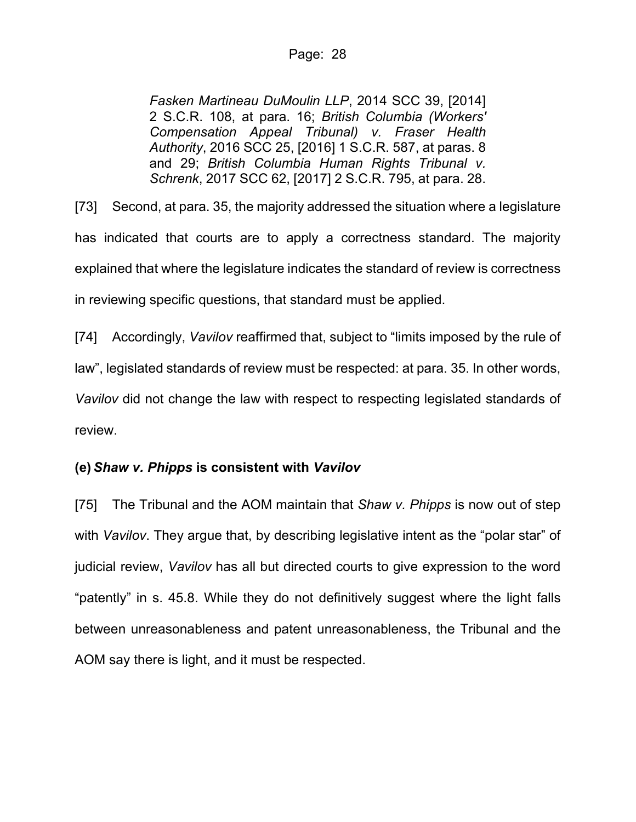*Fasken Martineau DuMoulin LLP*, [2014 SCC 39, \[2014\]](https://advance.lexis.com/api/document?collection=cases-ca&id=urn:contentItem:5G6C-XFY1-JCBX-S016-00000-00&context=1505209)  [2 S.C.R. 108,](https://advance.lexis.com/api/document?collection=cases-ca&id=urn:contentItem:5G6C-XFY1-JCBX-S016-00000-00&context=1505209) at para. 16; *British Columbia (Workers' Compensation Appeal Tribunal) v. Fraser Health Authority*, [2016 SCC 25, \[2016\] 1 S.C.R. 587,](https://advance.lexis.com/api/document?collection=cases-ca&id=urn:contentItem:5N24-5XB1-FGY5-M10V-00000-00&context=1505209) at paras. 8 and 29; *British Columbia Human Rights Tribunal v. Schrenk*, 2017 SCC 62, [2017] 2 S.C.R. 795, at para. 28.

[73] Second, at para. 35, the majority addressed the situation where a legislature has indicated that courts are to apply a correctness standard. The majority explained that where the legislature indicates the standard of review is correctness in reviewing specific questions, that standard must be applied.

[74] Accordingly, *Vavilov* reaffirmed that, subject to "limits imposed by the rule of law", legislated standards of review must be respected: at para. 35. In other words, *Vavilov* did not change the law with respect to respecting legislated standards of review.

# **(e)** *Shaw v. Phipps* **is consistent with** *Vavilov*

[75] The Tribunal and the AOM maintain that *Shaw v. Phipps* is now out of step with *Vavilov*. They argue that, by describing legislative intent as the "polar star" of judicial review, *Vavilov* has all but directed courts to give expression to the word "patently" in s. 45.8. While they do not definitively suggest where the light falls between unreasonableness and patent unreasonableness, the Tribunal and the AOM say there is light, and it must be respected.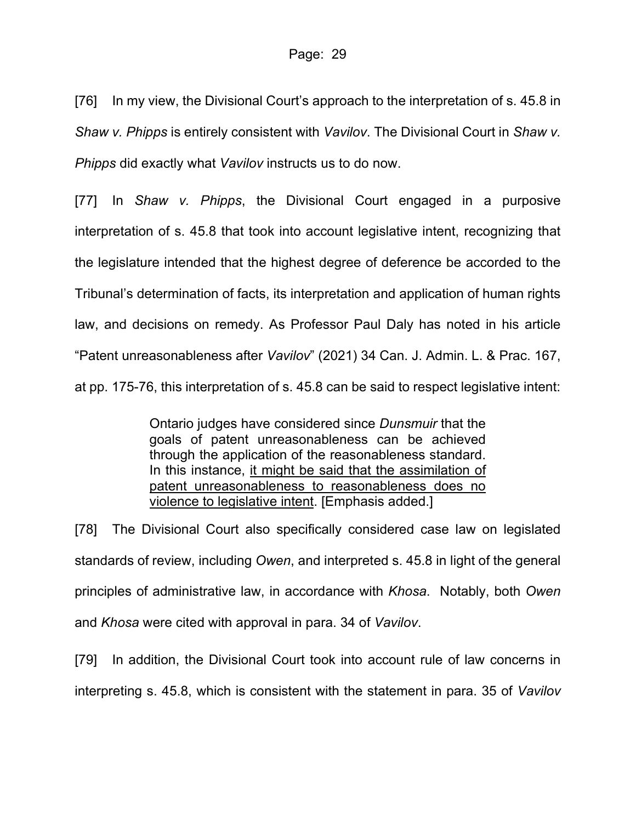[76] In my view, the Divisional Court's approach to the interpretation of s. 45.8 in *Shaw v. Phipps* is entirely consistent with *Vavilov*. The Divisional Court in *Shaw v. Phipps* did exactly what *Vavilov* instructs us to do now.

[77] In *Shaw v. Phipps*, the Divisional Court engaged in a purposive interpretation of s. 45.8 that took into account legislative intent, recognizing that the legislature intended that the highest degree of deference be accorded to the Tribunal's determination of facts, its interpretation and application of human rights law, and decisions on remedy. As Professor Paul Daly has noted in his article "Patent unreasonableness after *Vavilov*" (2021) 34 Can. J. Admin. L. & Prac. 167, at pp. 175-76, this interpretation of s. 45.8 can be said to respect legislative intent:

> Ontario judges have considered since *Dunsmuir* that the goals of patent unreasonableness can be achieved through the application of the reasonableness standard. In this instance, it might be said that the assimilation of patent unreasonableness to reasonableness does no violence to legislative intent. [Emphasis added.]

[78] The Divisional Court also specifically considered case law on legislated standards of review, including *Owen*, and interpreted s. 45.8 in light of the general principles of administrative law, in accordance with *Khosa*. Notably, both *Owen* and *Khosa* were cited with approval in para. 34 of *Vavilov*.

[79] In addition, the Divisional Court took into account rule of law concerns in interpreting s. 45.8, which is consistent with the statement in para. 35 of *Vavilov*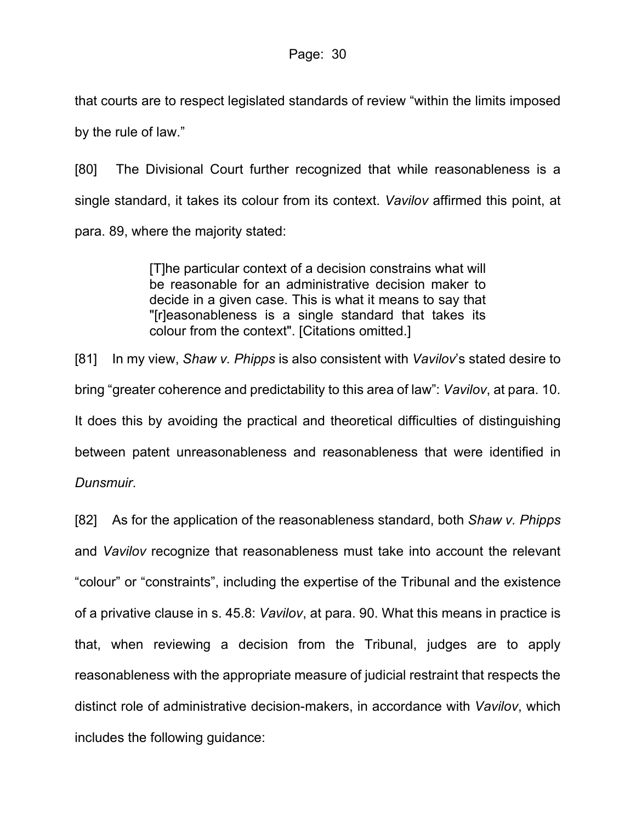that courts are to respect legislated standards of review "within the limits imposed by the rule of law."

[80] The Divisional Court further recognized that while reasonableness is a single standard, it takes its colour from its context. *Vavilov* affirmed this point, at para. 89, where the majority stated:

> [T]he particular context of a decision constrains what will be reasonable for an administrative decision maker to decide in a given case. This is what it means to say that "[r]easonableness is a single standard that takes its colour from the context". [Citations omitted.]

[81] In my view, *Shaw v. Phipps* is also consistent with *Vavilov*'s stated desire to bring "greater coherence and predictability to this area of law": *Vavilov*, at para. 10. It does this by avoiding the practical and theoretical difficulties of distinguishing between patent unreasonableness and reasonableness that were identified in *Dunsmuir*.

[82] As for the application of the reasonableness standard, both *Shaw v. Phipps* and *Vavilov* recognize that reasonableness must take into account the relevant "colour" or "constraints", including the expertise of the Tribunal and the existence of a privative clause in s. 45.8: *Vavilov*, at para. 90. What this means in practice is that, when reviewing a decision from the Tribunal, judges are to apply reasonableness with the appropriate measure of judicial restraint that respects the distinct role of administrative decision-makers, in accordance with *Vavilov*, which includes the following guidance: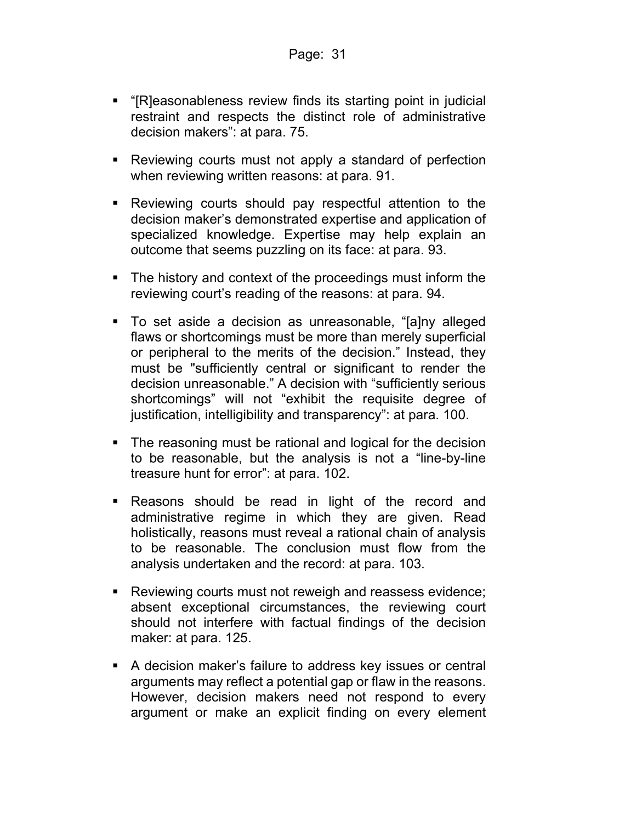- "[R]easonableness review finds its starting point in judicial restraint and respects the distinct role of administrative decision makers": at para. 75.
- Reviewing courts must not apply a standard of perfection when reviewing written reasons: at para. 91.
- Reviewing courts should pay respectful attention to the decision maker's demonstrated expertise and application of specialized knowledge. Expertise may help explain an outcome that seems puzzling on its face: at para. 93.
- The history and context of the proceedings must inform the reviewing court's reading of the reasons: at para. 94.
- To set aside a decision as unreasonable, "[a]ny alleged flaws or shortcomings must be more than merely superficial or peripheral to the merits of the decision." Instead, they must be "sufficiently central or significant to render the decision unreasonable." A decision with "sufficiently serious shortcomings" will not "exhibit the requisite degree of justification, intelligibility and transparency": at para. 100.
- The reasoning must be rational and logical for the decision to be reasonable, but the analysis is not a "line-by-line treasure hunt for error": at para. 102.
- **-** Reasons should be read in light of the record and administrative regime in which they are given. Read holistically, reasons must reveal a rational chain of analysis to be reasonable. The conclusion must flow from the analysis undertaken and the record: at para. 103.
- Reviewing courts must not reweigh and reassess evidence; absent exceptional circumstances, the reviewing court should not interfere with factual findings of the decision maker: at para. 125.
- A decision maker's failure to address key issues or central arguments may reflect a potential gap or flaw in the reasons. However, decision makers need not respond to every argument or make an explicit finding on every element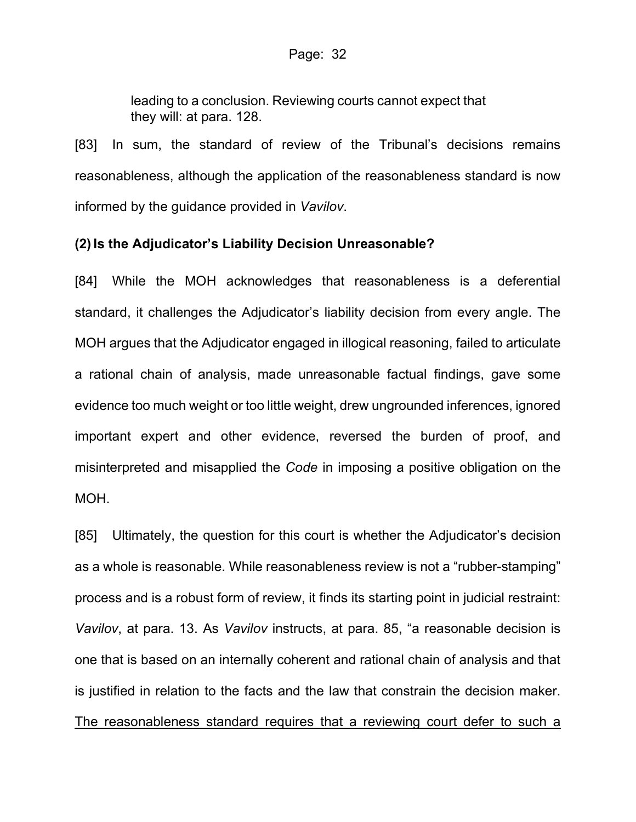leading to a conclusion. Reviewing courts cannot expect that they will: at para. 128.

[83] In sum, the standard of review of the Tribunal's decisions remains reasonableness, although the application of the reasonableness standard is now informed by the guidance provided in *Vavilov*.

## **(2) Is the Adjudicator's Liability Decision Unreasonable?**

[84] While the MOH acknowledges that reasonableness is a deferential standard, it challenges the Adjudicator's liability decision from every angle. The MOH argues that the Adjudicator engaged in illogical reasoning, failed to articulate a rational chain of analysis, made unreasonable factual findings, gave some evidence too much weight or too little weight, drew ungrounded inferences, ignored important expert and other evidence, reversed the burden of proof, and misinterpreted and misapplied the *Code* in imposing a positive obligation on the MOH.

[85] Ultimately, the question for this court is whether the Adjudicator's decision as a whole is reasonable. While reasonableness review is not a "rubber-stamping" process and is a robust form of review, it finds its starting point in judicial restraint: *Vavilov*, at para. 13. As *Vavilov* instructs, at para. 85, "a reasonable decision is one that is based on an internally coherent and rational chain of analysis and that is justified in relation to the facts and the law that constrain the decision maker. The reasonableness standard requires that a reviewing court defer to such a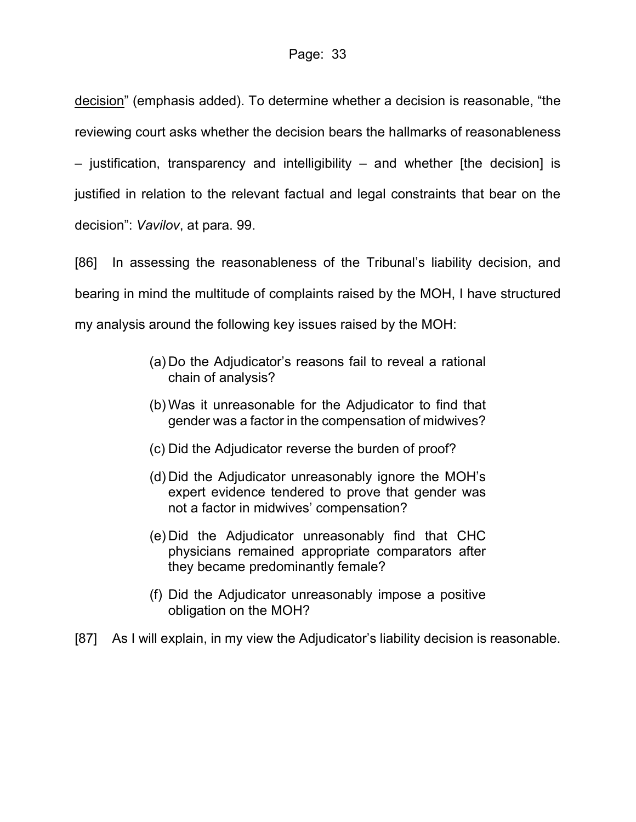decision" (emphasis added). To determine whether a decision is reasonable, "the reviewing court asks whether the decision bears the hallmarks of reasonableness – justification, transparency and intelligibility – and whether [the decision] is justified in relation to the relevant factual and legal constraints that bear on the decision": *Vavilov*, at para. 99.

[86] In assessing the reasonableness of the Tribunal's liability decision, and bearing in mind the multitude of complaints raised by the MOH, I have structured my analysis around the following key issues raised by the MOH:

- (a) Do the Adjudicator's reasons fail to reveal a rational chain of analysis?
- (b) Was it unreasonable for the Adjudicator to find that gender was a factor in the compensation of midwives?
- (c) Did the Adjudicator reverse the burden of proof?
- (d) Did the Adjudicator unreasonably ignore the MOH's expert evidence tendered to prove that gender was not a factor in midwives' compensation?
- (e) Did the Adjudicator unreasonably find that CHC physicians remained appropriate comparators after they became predominantly female?
- (f) Did the Adjudicator unreasonably impose a positive obligation on the MOH?
- [87] As I will explain, in my view the Adjudicator's liability decision is reasonable.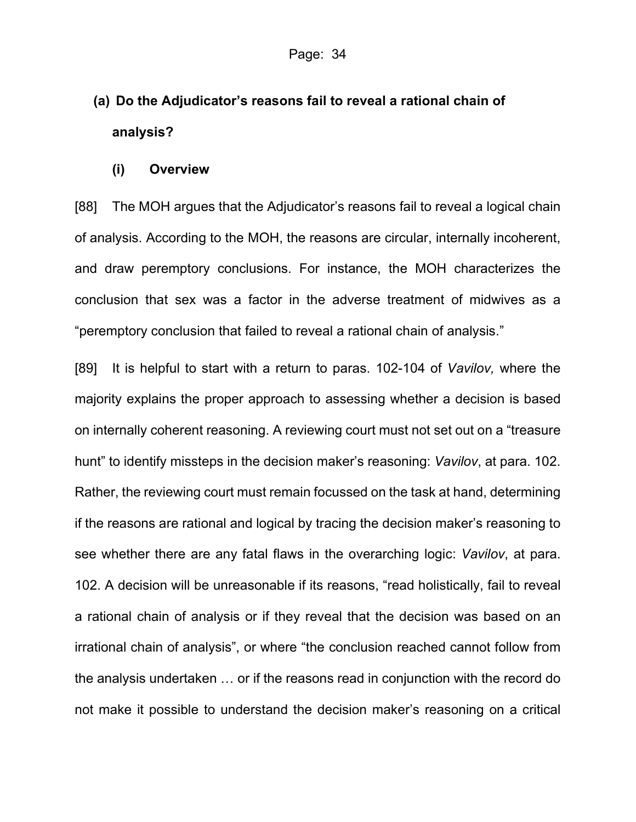# **(a) Do the Adjudicator's reasons fail to reveal a rational chain of analysis?**

#### **(i) Overview**

[88] The MOH argues that the Adjudicator's reasons fail to reveal a logical chain of analysis. According to the MOH, the reasons are circular, internally incoherent, and draw peremptory conclusions. For instance, the MOH characterizes the conclusion that sex was a factor in the adverse treatment of midwives as a "peremptory conclusion that failed to reveal a rational chain of analysis."

[89] It is helpful to start with a return to paras. 102-104 of *Vavilov,* where the majority explains the proper approach to assessing whether a decision is based on internally coherent reasoning. A reviewing court must not set out on a "treasure hunt" to identify missteps in the decision maker's reasoning: *Vavilov*, at para. 102. Rather, the reviewing court must remain focussed on the task at hand, determining if the reasons are rational and logical by tracing the decision maker's reasoning to see whether there are any fatal flaws in the overarching logic: *Vavilov*, at para. 102. A decision will be unreasonable if its reasons, "read holistically, fail to reveal a rational chain of analysis or if they reveal that the decision was based on an irrational chain of analysis", or where "the conclusion reached cannot follow from the analysis undertaken … or if the reasons read in conjunction with the record do not make it possible to understand the decision maker's reasoning on a critical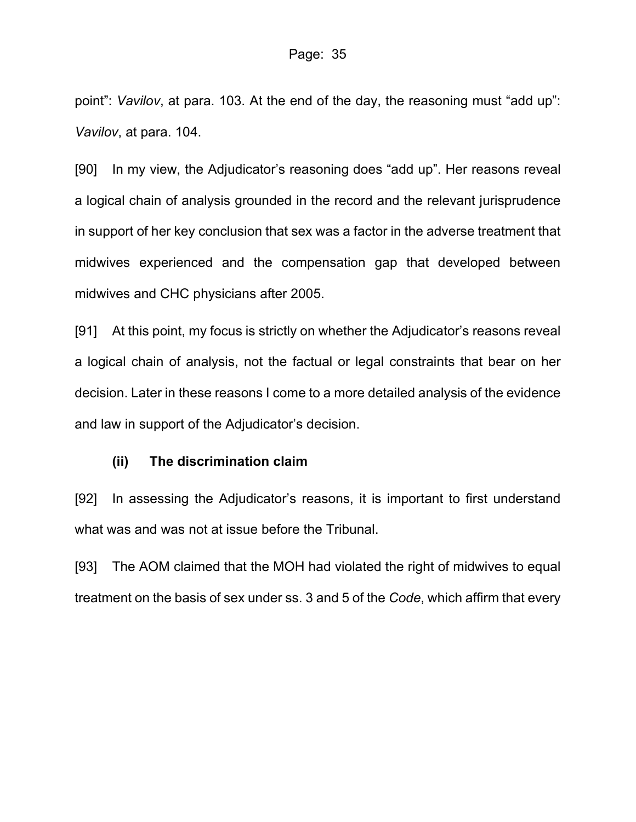point": *Vavilov*, at para. 103. At the end of the day, the reasoning must "add up": *Vavilov*, at para. 104.

[90] In my view, the Adjudicator's reasoning does "add up". Her reasons reveal a logical chain of analysis grounded in the record and the relevant jurisprudence in support of her key conclusion that sex was a factor in the adverse treatment that midwives experienced and the compensation gap that developed between midwives and CHC physicians after 2005.

[91] At this point, my focus is strictly on whether the Adjudicator's reasons reveal a logical chain of analysis, not the factual or legal constraints that bear on her decision. Later in these reasons I come to a more detailed analysis of the evidence and law in support of the Adjudicator's decision.

## **(ii) The discrimination claim**

[92] In assessing the Adjudicator's reasons, it is important to first understand what was and was not at issue before the Tribunal.

[93] The AOM claimed that the MOH had violated the right of midwives to equal treatment on the basis of sex under ss. 3 and 5 of the *Code*, which affirm that every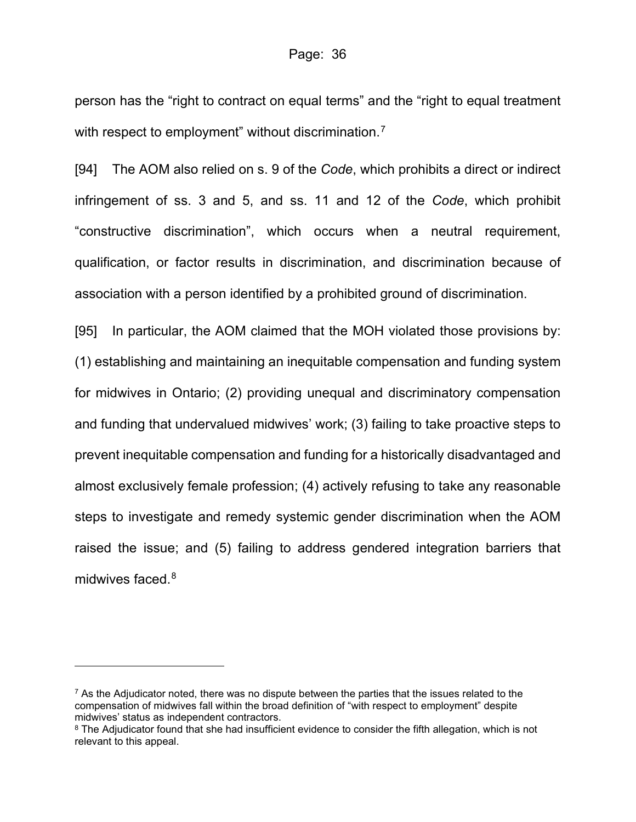person has the "right to contract on equal terms" and the "right to equal treatment with respect to employment" without discrimination.<sup>[7](#page-35-0)</sup>

[94] The AOM also relied on s. 9 of the *Code*, which prohibits a direct or indirect infringement of ss. 3 and 5, and ss. 11 and 12 of the *Code*, which prohibit "constructive discrimination", which occurs when a neutral requirement, qualification, or factor results in discrimination, and discrimination because of association with a person identified by a prohibited ground of discrimination.

[95] In particular, the AOM claimed that the MOH violated those provisions by: (1) establishing and maintaining an inequitable compensation and funding system for midwives in Ontario; (2) providing unequal and discriminatory compensation and funding that undervalued midwives' work; (3) failing to take proactive steps to prevent inequitable compensation and funding for a historically disadvantaged and almost exclusively female profession; (4) actively refusing to take any reasonable steps to investigate and remedy systemic gender discrimination when the AOM raised the issue; and (5) failing to address gendered integration barriers that midwives faced. $^8$  $^8$ 

<span id="page-35-0"></span> $7$  As the Adjudicator noted, there was no dispute between the parties that the issues related to the compensation of midwives fall within the broad definition of "with respect to employment" despite midwives' status as independent contractors.

<span id="page-35-1"></span><sup>&</sup>lt;sup>8</sup> The Adjudicator found that she had insufficient evidence to consider the fifth allegation, which is not relevant to this appeal.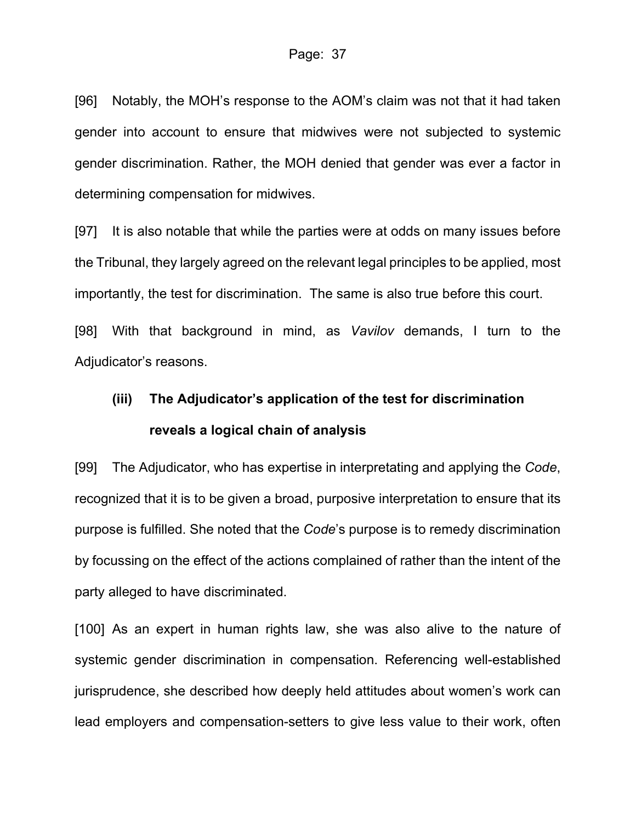[96] Notably, the MOH's response to the AOM's claim was not that it had taken gender into account to ensure that midwives were not subjected to systemic gender discrimination. Rather, the MOH denied that gender was ever a factor in determining compensation for midwives.

[97] It is also notable that while the parties were at odds on many issues before the Tribunal, they largely agreed on the relevant legal principles to be applied, most importantly, the test for discrimination. The same is also true before this court.

[98] With that background in mind, as *Vavilov* demands, I turn to the Adjudicator's reasons.

### **(iii) The Adjudicator's application of the test for discrimination reveals a logical chain of analysis**

[99] The Adjudicator, who has expertise in interpretating and applying the *Code*, recognized that it is to be given a broad, purposive interpretation to ensure that its purpose is fulfilled. She noted that the *Code*'s purpose is to remedy discrimination by focussing on the effect of the actions complained of rather than the intent of the party alleged to have discriminated.

[100] As an expert in human rights law, she was also alive to the nature of systemic gender discrimination in compensation. Referencing well-established jurisprudence, she described how deeply held attitudes about women's work can lead employers and compensation-setters to give less value to their work, often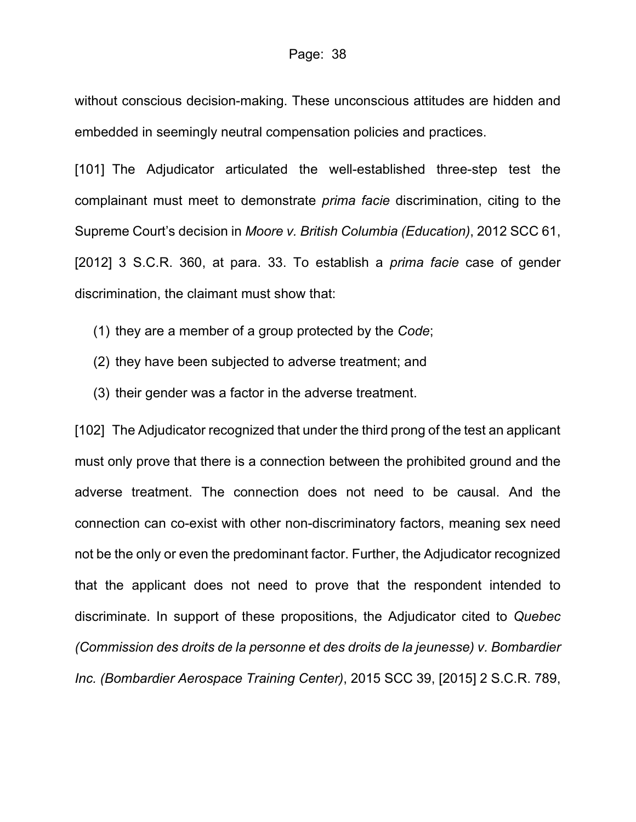without conscious decision-making. These unconscious attitudes are hidden and embedded in seemingly neutral compensation policies and practices.

[101] The Adjudicator articulated the well-established three-step test the complainant must meet to demonstrate *prima facie* discrimination, citing to the Supreme Court's decision in *Moore v. British Columbia (Education)*, 2012 SCC 61, [2012] 3 S.C.R. 360, at para. 33. To establish a *prima facie* case of gender discrimination, the claimant must show that:

- (1) they are a member of a group protected by the *Code*;
- (2) they have been subjected to adverse treatment; and
- (3) their gender was a factor in the adverse treatment.

[102] The Adjudicator recognized that under the third prong of the test an applicant must only prove that there is a connection between the prohibited ground and the adverse treatment. The connection does not need to be causal. And the connection can co-exist with other non-discriminatory factors, meaning sex need not be the only or even the predominant factor. Further, the Adjudicator recognized that the applicant does not need to prove that the respondent intended to discriminate. In support of these propositions, the Adjudicator cited to *Quebec (Commission des droits de la personne et des droits de la jeunesse) v. Bombardier Inc. (Bombardier Aerospace Training Center)*, 2015 SCC 39, [2015] 2 S.C.R. 789,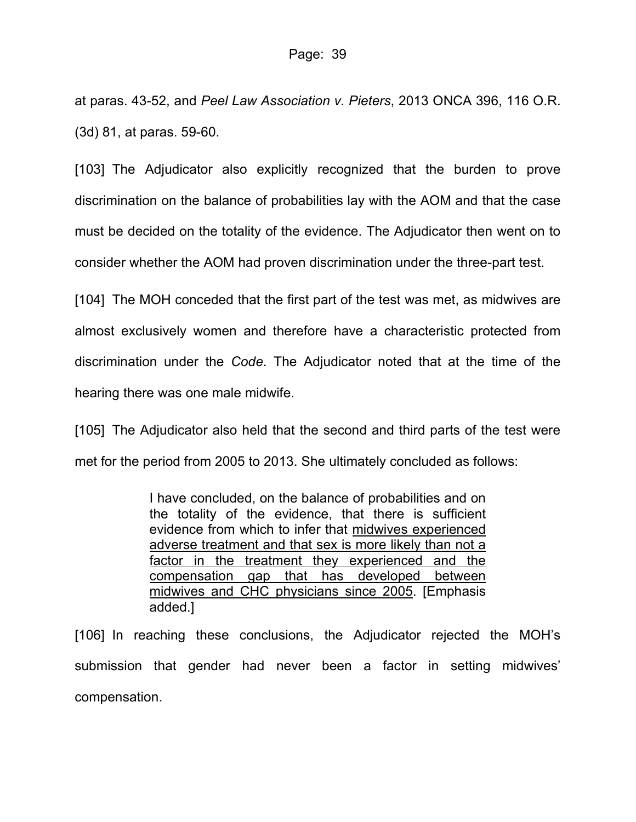at paras. 43-52, and *Peel Law Association v. Pieters*, 2013 ONCA 396, 116 O.R. (3d) 81, at paras. 59-60.

[103] The Adjudicator also explicitly recognized that the burden to prove discrimination on the balance of probabilities lay with the AOM and that the case must be decided on the totality of the evidence. The Adjudicator then went on to consider whether the AOM had proven discrimination under the three-part test.

[104] The MOH conceded that the first part of the test was met, as midwives are almost exclusively women and therefore have a characteristic protected from discrimination under the *Code*. The Adjudicator noted that at the time of the hearing there was one male midwife.

[105] The Adjudicator also held that the second and third parts of the test were met for the period from 2005 to 2013. She ultimately concluded as follows:

> I have concluded, on the balance of probabilities and on the totality of the evidence, that there is sufficient evidence from which to infer that midwives experienced adverse treatment and that sex is more likely than not a factor in the treatment they experienced and the compensation gap that has developed between midwives and CHC physicians since 2005. [Emphasis added.]

[106] In reaching these conclusions, the Adjudicator rejected the MOH's submission that gender had never been a factor in setting midwives' compensation.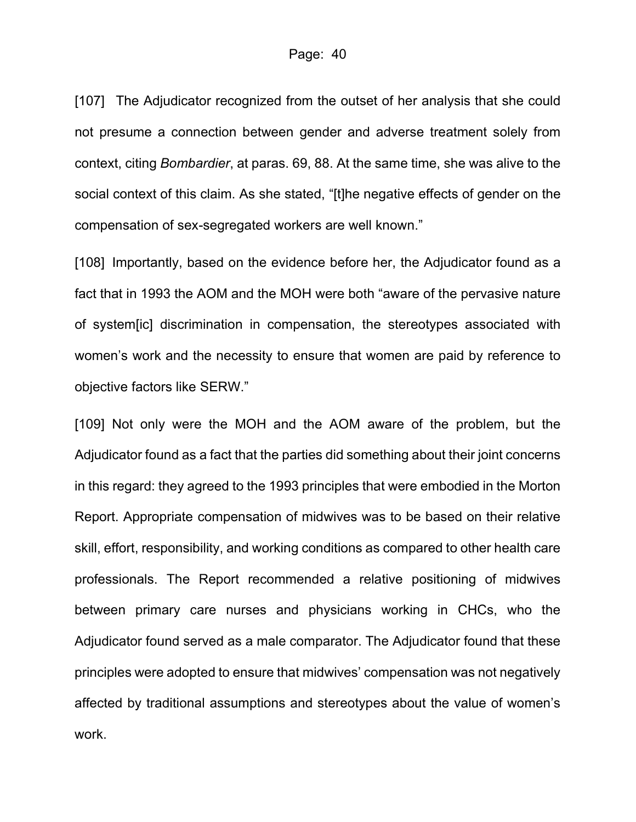[107] The Adjudicator recognized from the outset of her analysis that she could not presume a connection between gender and adverse treatment solely from context, citing *Bombardier*, at paras. 69, 88. At the same time, she was alive to the social context of this claim. As she stated, "[t]he negative effects of gender on the compensation of sex-segregated workers are well known."

[108] Importantly, based on the evidence before her, the Adjudicator found as a fact that in 1993 the AOM and the MOH were both "aware of the pervasive nature of system[ic] discrimination in compensation, the stereotypes associated with women's work and the necessity to ensure that women are paid by reference to objective factors like SERW."

[109] Not only were the MOH and the AOM aware of the problem, but the Adjudicator found as a fact that the parties did something about their joint concerns in this regard: they agreed to the 1993 principles that were embodied in the Morton Report. Appropriate compensation of midwives was to be based on their relative skill, effort, responsibility, and working conditions as compared to other health care professionals. The Report recommended a relative positioning of midwives between primary care nurses and physicians working in CHCs, who the Adjudicator found served as a male comparator. The Adjudicator found that these principles were adopted to ensure that midwives' compensation was not negatively affected by traditional assumptions and stereotypes about the value of women's work.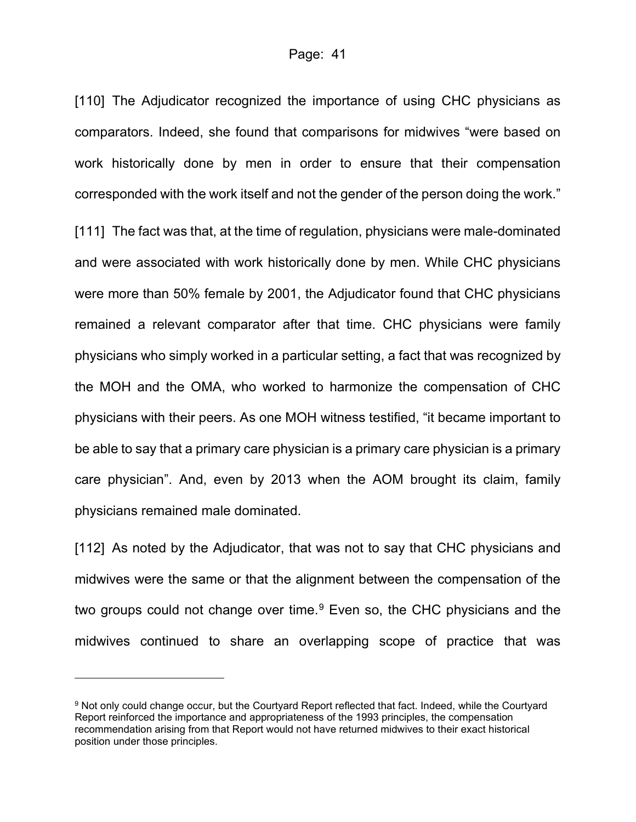[110] The Adjudicator recognized the importance of using CHC physicians as comparators. Indeed, she found that comparisons for midwives "were based on work historically done by men in order to ensure that their compensation corresponded with the work itself and not the gender of the person doing the work." [111] The fact was that, at the time of regulation, physicians were male-dominated and were associated with work historically done by men. While CHC physicians were more than 50% female by 2001, the Adjudicator found that CHC physicians remained a relevant comparator after that time. CHC physicians were family physicians who simply worked in a particular setting, a fact that was recognized by the MOH and the OMA, who worked to harmonize the compensation of CHC physicians with their peers. As one MOH witness testified, "it became important to be able to say that a primary care physician is a primary care physician is a primary care physician". And, even by 2013 when the AOM brought its claim, family physicians remained male dominated.

[112] As noted by the Adjudicator, that was not to say that CHC physicians and midwives were the same or that the alignment between the compensation of the two groups could not change over time. $9$  Even so, the CHC physicians and the midwives continued to share an overlapping scope of practice that was

<span id="page-40-0"></span><sup>9</sup> Not only could change occur, but the Courtyard Report reflected that fact. Indeed, while the Courtyard Report reinforced the importance and appropriateness of the 1993 principles, the compensation recommendation arising from that Report would not have returned midwives to their exact historical position under those principles.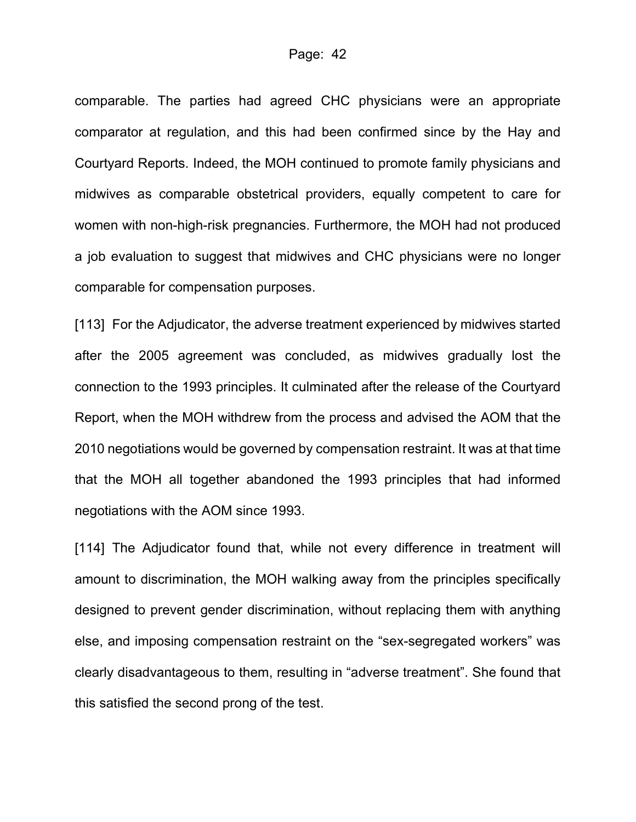comparable. The parties had agreed CHC physicians were an appropriate comparator at regulation, and this had been confirmed since by the Hay and Courtyard Reports. Indeed, the MOH continued to promote family physicians and midwives as comparable obstetrical providers, equally competent to care for women with non-high-risk pregnancies. Furthermore, the MOH had not produced a job evaluation to suggest that midwives and CHC physicians were no longer comparable for compensation purposes.

[113] For the Adjudicator, the adverse treatment experienced by midwives started after the 2005 agreement was concluded, as midwives gradually lost the connection to the 1993 principles. It culminated after the release of the Courtyard Report, when the MOH withdrew from the process and advised the AOM that the 2010 negotiations would be governed by compensation restraint. It was at that time that the MOH all together abandoned the 1993 principles that had informed negotiations with the AOM since 1993.

[114] The Adjudicator found that, while not every difference in treatment will amount to discrimination, the MOH walking away from the principles specifically designed to prevent gender discrimination, without replacing them with anything else, and imposing compensation restraint on the "sex-segregated workers" was clearly disadvantageous to them, resulting in "adverse treatment". She found that this satisfied the second prong of the test.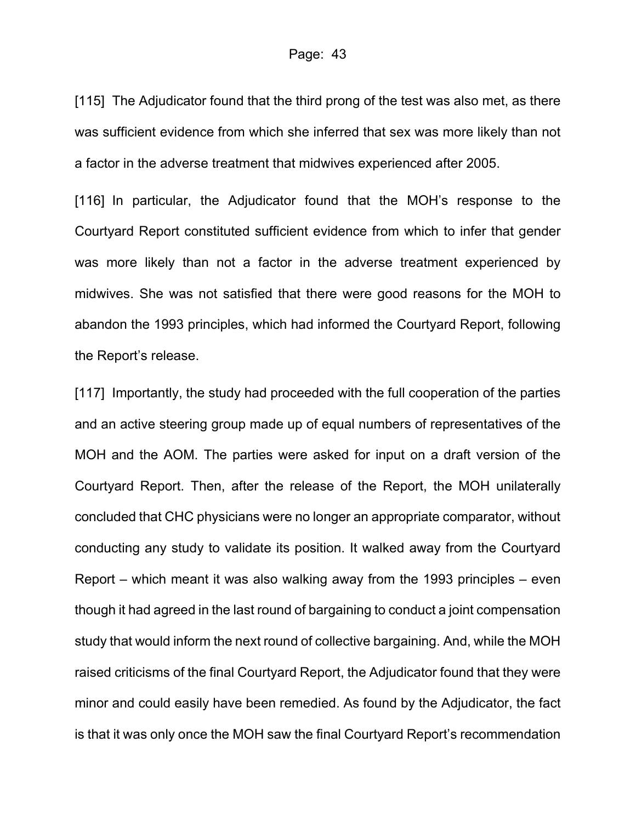[115] The Adjudicator found that the third prong of the test was also met, as there was sufficient evidence from which she inferred that sex was more likely than not a factor in the adverse treatment that midwives experienced after 2005.

[116] In particular, the Adjudicator found that the MOH's response to the Courtyard Report constituted sufficient evidence from which to infer that gender was more likely than not a factor in the adverse treatment experienced by midwives. She was not satisfied that there were good reasons for the MOH to abandon the 1993 principles, which had informed the Courtyard Report, following the Report's release.

[117] Importantly, the study had proceeded with the full cooperation of the parties and an active steering group made up of equal numbers of representatives of the MOH and the AOM. The parties were asked for input on a draft version of the Courtyard Report. Then, after the release of the Report, the MOH unilaterally concluded that CHC physicians were no longer an appropriate comparator, without conducting any study to validate its position. It walked away from the Courtyard Report – which meant it was also walking away from the 1993 principles – even though it had agreed in the last round of bargaining to conduct a joint compensation study that would inform the next round of collective bargaining. And, while the MOH raised criticisms of the final Courtyard Report, the Adjudicator found that they were minor and could easily have been remedied. As found by the Adjudicator, the fact is that it was only once the MOH saw the final Courtyard Report's recommendation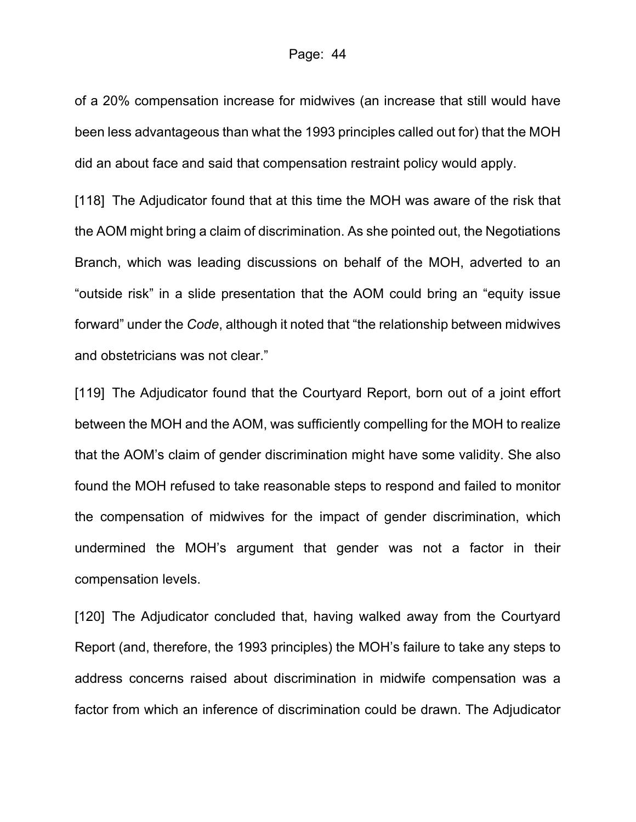of a 20% compensation increase for midwives (an increase that still would have been less advantageous than what the 1993 principles called out for) that the MOH did an about face and said that compensation restraint policy would apply.

[118] The Adjudicator found that at this time the MOH was aware of the risk that the AOM might bring a claim of discrimination. As she pointed out, the Negotiations Branch, which was leading discussions on behalf of the MOH, adverted to an "outside risk" in a slide presentation that the AOM could bring an "equity issue forward" under the *Code*, although it noted that "the relationship between midwives and obstetricians was not clear."

[119] The Adjudicator found that the Courtyard Report, born out of a joint effort between the MOH and the AOM, was sufficiently compelling for the MOH to realize that the AOM's claim of gender discrimination might have some validity. She also found the MOH refused to take reasonable steps to respond and failed to monitor the compensation of midwives for the impact of gender discrimination, which undermined the MOH's argument that gender was not a factor in their compensation levels.

[120] The Adjudicator concluded that, having walked away from the Courtyard Report (and, therefore, the 1993 principles) the MOH's failure to take any steps to address concerns raised about discrimination in midwife compensation was a factor from which an inference of discrimination could be drawn. The Adjudicator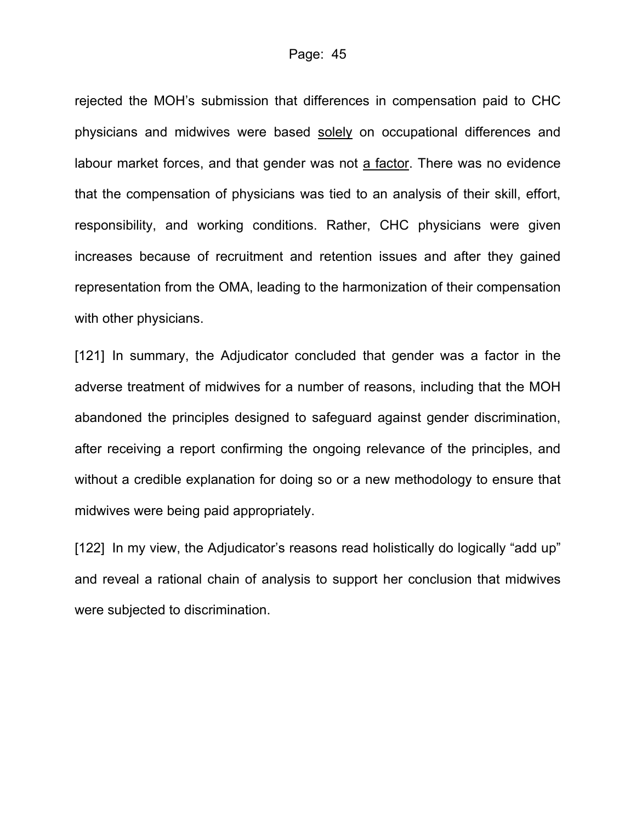rejected the MOH's submission that differences in compensation paid to CHC physicians and midwives were based solely on occupational differences and labour market forces, and that gender was not a factor. There was no evidence that the compensation of physicians was tied to an analysis of their skill, effort, responsibility, and working conditions. Rather, CHC physicians were given increases because of recruitment and retention issues and after they gained representation from the OMA, leading to the harmonization of their compensation with other physicians.

[121] In summary, the Adjudicator concluded that gender was a factor in the adverse treatment of midwives for a number of reasons, including that the MOH abandoned the principles designed to safeguard against gender discrimination, after receiving a report confirming the ongoing relevance of the principles, and without a credible explanation for doing so or a new methodology to ensure that midwives were being paid appropriately.

[122] In my view, the Adjudicator's reasons read holistically do logically "add up" and reveal a rational chain of analysis to support her conclusion that midwives were subjected to discrimination.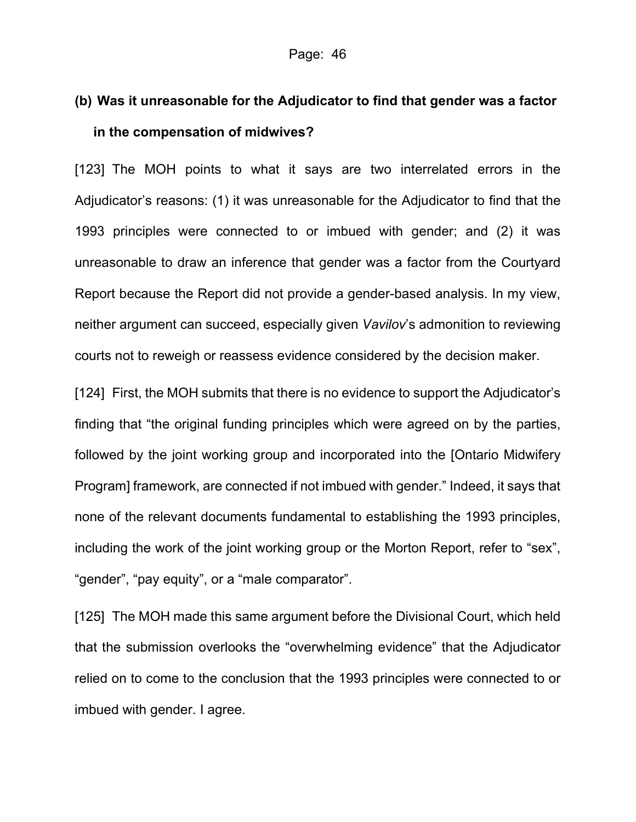### **(b) Was it unreasonable for the Adjudicator to find that gender was a factor in the compensation of midwives?**

[123] The MOH points to what it says are two interrelated errors in the Adjudicator's reasons: (1) it was unreasonable for the Adjudicator to find that the 1993 principles were connected to or imbued with gender; and (2) it was unreasonable to draw an inference that gender was a factor from the Courtyard Report because the Report did not provide a gender-based analysis. In my view, neither argument can succeed, especially given *Vavilov*'s admonition to reviewing courts not to reweigh or reassess evidence considered by the decision maker.

[124] First, the MOH submits that there is no evidence to support the Adjudicator's finding that "the original funding principles which were agreed on by the parties, followed by the joint working group and incorporated into the [Ontario Midwifery Program] framework, are connected if not imbued with gender." Indeed, it says that none of the relevant documents fundamental to establishing the 1993 principles, including the work of the joint working group or the Morton Report, refer to "sex", "gender", "pay equity", or a "male comparator".

[125] The MOH made this same argument before the Divisional Court, which held that the submission overlooks the "overwhelming evidence" that the Adjudicator relied on to come to the conclusion that the 1993 principles were connected to or imbued with gender. I agree.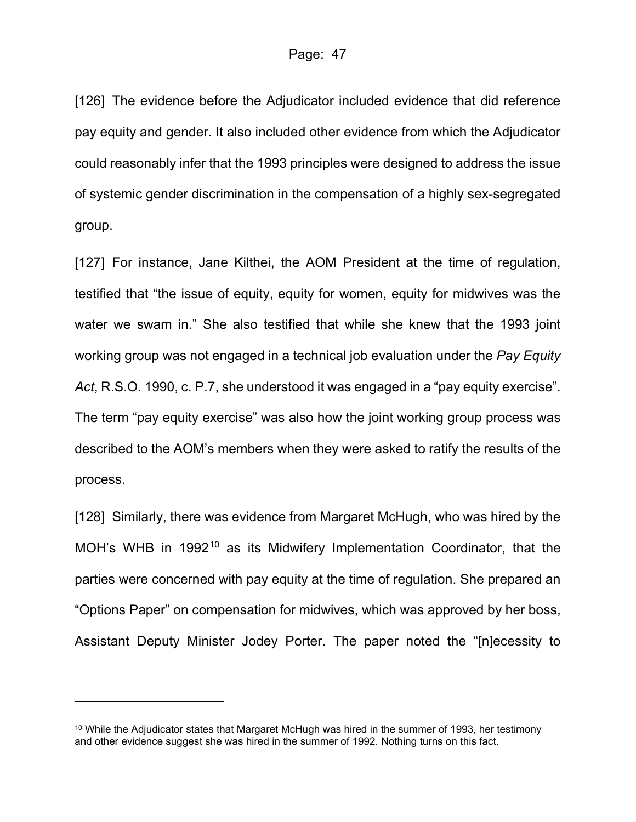[126] The evidence before the Adjudicator included evidence that did reference pay equity and gender. It also included other evidence from which the Adjudicator could reasonably infer that the 1993 principles were designed to address the issue of systemic gender discrimination in the compensation of a highly sex-segregated group.

[127] For instance, Jane Kilthei, the AOM President at the time of regulation, testified that "the issue of equity, equity for women, equity for midwives was the water we swam in." She also testified that while she knew that the 1993 joint working group was not engaged in a technical job evaluation under the *Pay Equity Act*, R.S.O. 1990, c. P.7, she understood it was engaged in a "pay equity exercise". The term "pay equity exercise" was also how the joint working group process was described to the AOM's members when they were asked to ratify the results of the process.

[128] Similarly, there was evidence from Margaret McHugh, who was hired by the MOH's WHB in 1992<sup>[10](#page-46-0)</sup> as its Midwifery Implementation Coordinator, that the parties were concerned with pay equity at the time of regulation. She prepared an "Options Paper" on compensation for midwives, which was approved by her boss, Assistant Deputy Minister Jodey Porter. The paper noted the "[n]ecessity to

<span id="page-46-0"></span> $10$  While the Adjudicator states that Margaret McHugh was hired in the summer of 1993, her testimony and other evidence suggest she was hired in the summer of 1992. Nothing turns on this fact.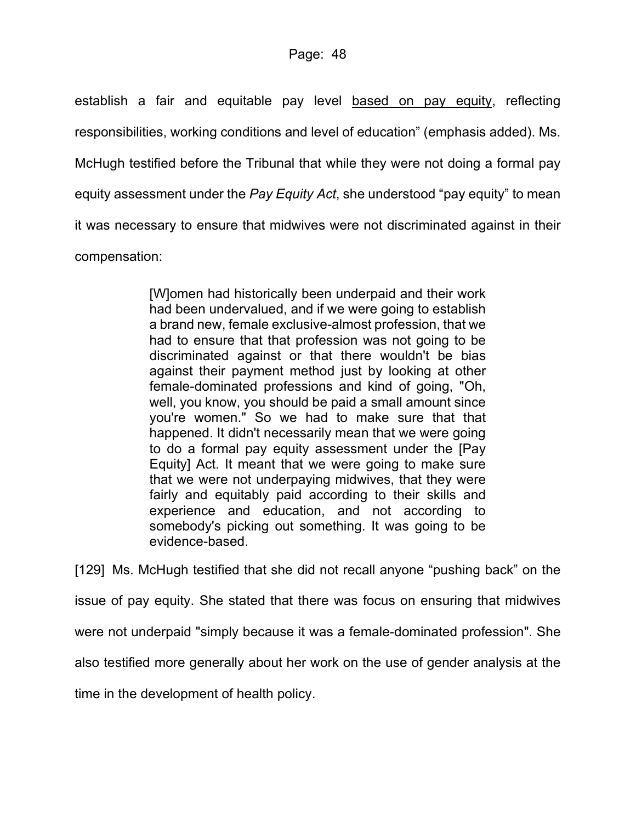establish a fair and equitable pay level based on pay equity, reflecting responsibilities, working conditions and level of education" (emphasis added). Ms. McHugh testified before the Tribunal that while they were not doing a formal pay equity assessment under the *Pay Equity Act*, she understood "pay equity" to mean it was necessary to ensure that midwives were not discriminated against in their compensation:

> [W]omen had historically been underpaid and their work had been undervalued, and if we were going to establish a brand new, female exclusive-almost profession, that we had to ensure that that profession was not going to be discriminated against or that there wouldn't be bias against their payment method just by looking at other female-dominated professions and kind of going, "Oh, well, you know, you should be paid a small amount since you're women." So we had to make sure that that happened. It didn't necessarily mean that we were going to do a formal pay equity assessment under the [\[Pay](https://www.canlii.org/en/on/laws/stat/rso-1990-c-p7/latest/rso-1990-c-p7.html)  [Equity\] Act.](https://www.canlii.org/en/on/laws/stat/rso-1990-c-p7/latest/rso-1990-c-p7.html) It meant that we were going to make sure that we were not underpaying midwives, that they were fairly and equitably paid according to their skills and experience and education, and not according to somebody's picking out something. It was going to be evidence-based.

[129] Ms. McHugh testified that she did not recall anyone "pushing back" on the issue of pay equity. She stated that there was focus on ensuring that midwives were not underpaid "simply because it was a female-dominated profession". She also testified more generally about her work on the use of gender analysis at the time in the development of health policy.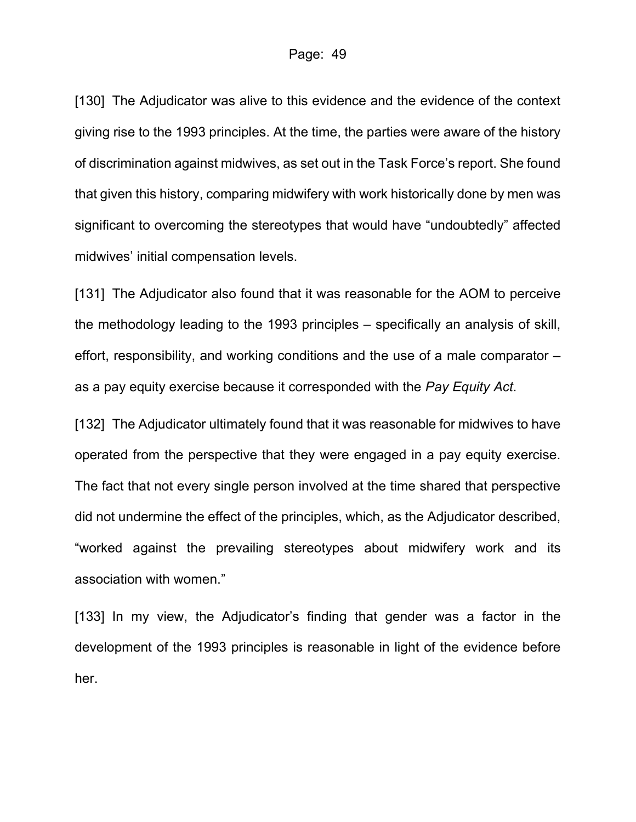[130] The Adjudicator was alive to this evidence and the evidence of the context giving rise to the 1993 principles. At the time, the parties were aware of the history of discrimination against midwives, as set out in the Task Force's report. She found that given this history, comparing midwifery with work historically done by men was significant to overcoming the stereotypes that would have "undoubtedly" affected midwives' initial compensation levels.

[131] The Adjudicator also found that it was reasonable for the AOM to perceive the methodology leading to the 1993 principles – specifically an analysis of skill, effort, responsibility, and working conditions and the use of a male comparator – as a pay equity exercise because it corresponded with the *Pay Equity Act*.

[132] The Adjudicator ultimately found that it was reasonable for midwives to have operated from the perspective that they were engaged in a pay equity exercise. The fact that not every single person involved at the time shared that perspective did not undermine the effect of the principles, which, as the Adjudicator described, "worked against the prevailing stereotypes about midwifery work and its association with women."

[133] In my view, the Adjudicator's finding that gender was a factor in the development of the 1993 principles is reasonable in light of the evidence before her.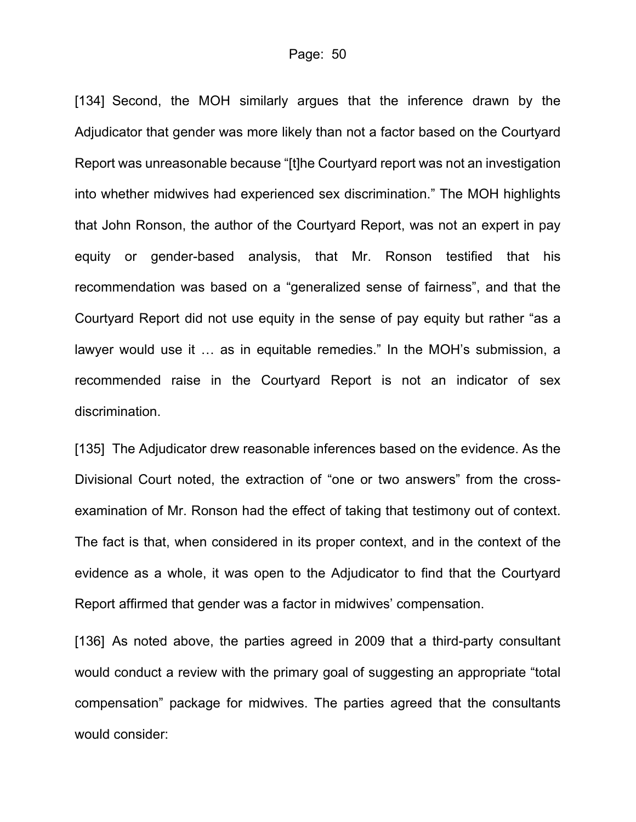[134] Second, the MOH similarly argues that the inference drawn by the Adjudicator that gender was more likely than not a factor based on the Courtyard Report was unreasonable because "[t]he Courtyard report was not an investigation into whether midwives had experienced sex discrimination." The MOH highlights that John Ronson, the author of the Courtyard Report, was not an expert in pay equity or gender-based analysis, that Mr. Ronson testified that his recommendation was based on a "generalized sense of fairness", and that the Courtyard Report did not use equity in the sense of pay equity but rather "as a lawyer would use it … as in equitable remedies." In the MOH's submission, a recommended raise in the Courtyard Report is not an indicator of sex discrimination.

[135] The Adjudicator drew reasonable inferences based on the evidence. As the Divisional Court noted, the extraction of "one or two answers" from the crossexamination of Mr. Ronson had the effect of taking that testimony out of context. The fact is that, when considered in its proper context, and in the context of the evidence as a whole, it was open to the Adjudicator to find that the Courtyard Report affirmed that gender was a factor in midwives' compensation.

[136] As noted above, the parties agreed in 2009 that a third-party consultant would conduct a review with the primary goal of suggesting an appropriate "total compensation" package for midwives. The parties agreed that the consultants would consider: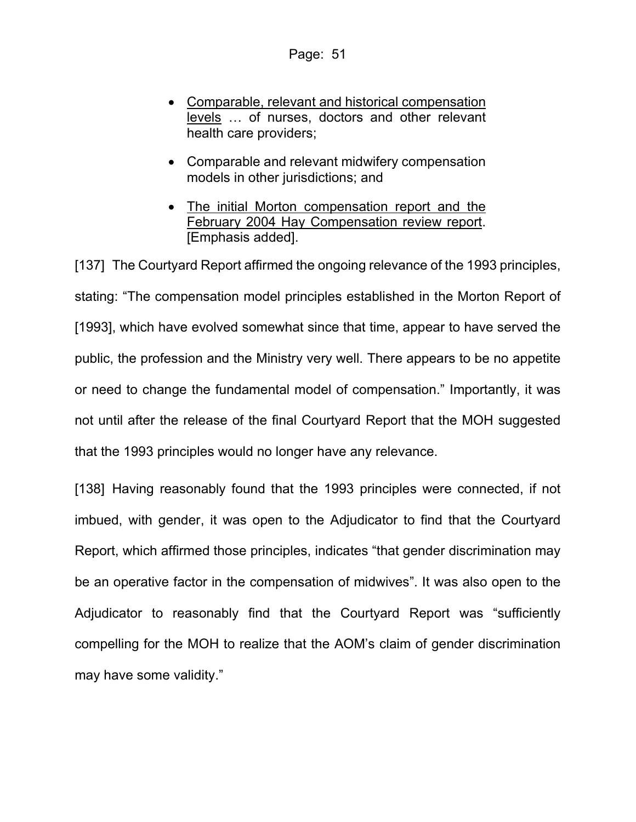- Comparable, relevant and historical compensation levels … of nurses, doctors and other relevant health care providers;
- Comparable and relevant midwifery compensation models in other jurisdictions; and
- The initial Morton compensation report and the February 2004 Hay Compensation review report. [Emphasis added].

[137] The Courtyard Report affirmed the ongoing relevance of the 1993 principles, stating: "The compensation model principles established in the Morton Report of [1993], which have evolved somewhat since that time, appear to have served the public, the profession and the Ministry very well. There appears to be no appetite or need to change the fundamental model of compensation." Importantly, it was not until after the release of the final Courtyard Report that the MOH suggested that the 1993 principles would no longer have any relevance.

[138] Having reasonably found that the 1993 principles were connected, if not imbued, with gender, it was open to the Adjudicator to find that the Courtyard Report, which affirmed those principles, indicates "that gender discrimination may be an operative factor in the compensation of midwives". It was also open to the Adjudicator to reasonably find that the Courtyard Report was "sufficiently compelling for the MOH to realize that the AOM's claim of gender discrimination may have some validity."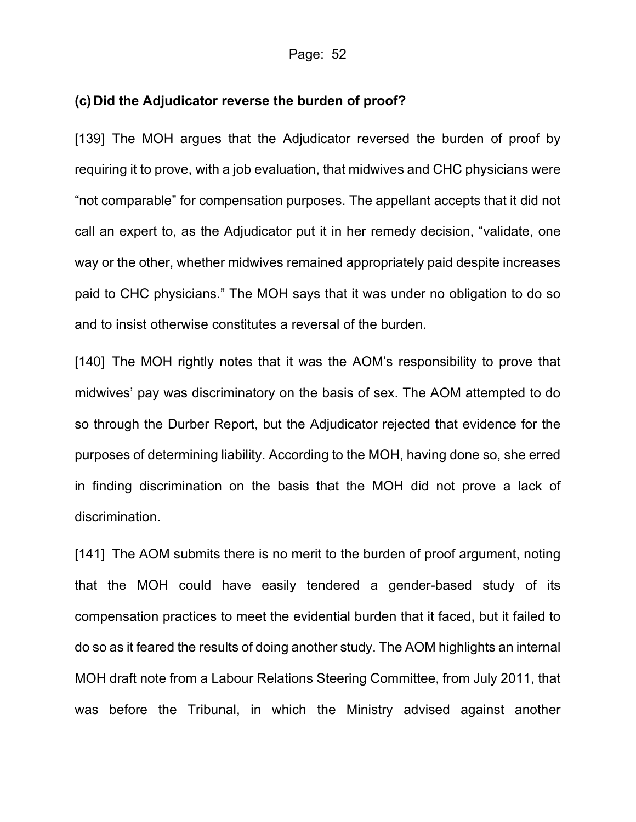#### **(c) Did the Adjudicator reverse the burden of proof?**

[139] The MOH argues that the Adjudicator reversed the burden of proof by requiring it to prove, with a job evaluation, that midwives and CHC physicians were "not comparable" for compensation purposes. The appellant accepts that it did not call an expert to, as the Adjudicator put it in her remedy decision, "validate, one way or the other, whether midwives remained appropriately paid despite increases paid to CHC physicians." The MOH says that it was under no obligation to do so and to insist otherwise constitutes a reversal of the burden.

[140] The MOH rightly notes that it was the AOM's responsibility to prove that midwives' pay was discriminatory on the basis of sex. The AOM attempted to do so through the Durber Report, but the Adjudicator rejected that evidence for the purposes of determining liability. According to the MOH, having done so, she erred in finding discrimination on the basis that the MOH did not prove a lack of discrimination.

[141] The AOM submits there is no merit to the burden of proof argument, noting that the MOH could have easily tendered a gender-based study of its compensation practices to meet the evidential burden that it faced, but it failed to do so as it feared the results of doing another study. The AOM highlights an internal MOH draft note from a Labour Relations Steering Committee, from July 2011, that was before the Tribunal, in which the Ministry advised against another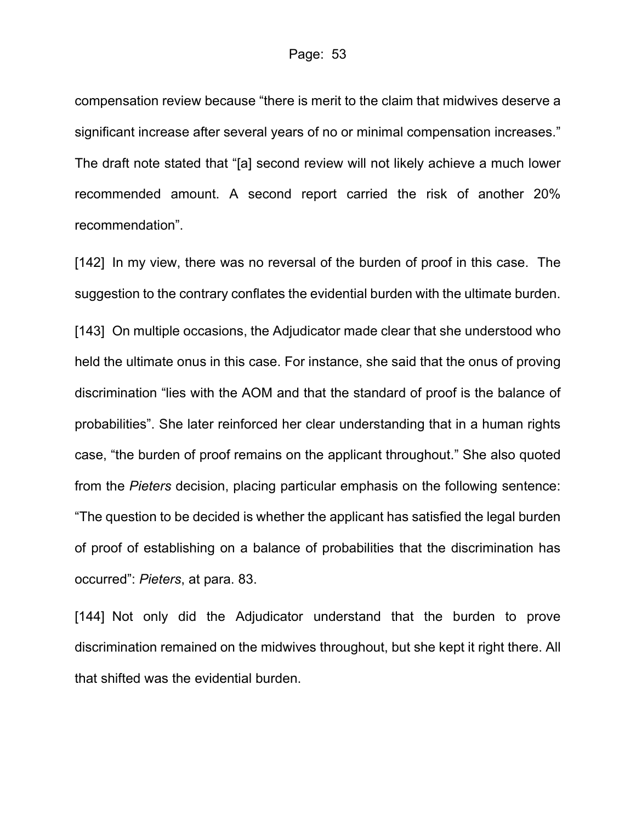compensation review because "there is merit to the claim that midwives deserve a significant increase after several years of no or minimal compensation increases." The draft note stated that "[a] second review will not likely achieve a much lower recommended amount. A second report carried the risk of another 20% recommendation".

[142] In my view, there was no reversal of the burden of proof in this case. The suggestion to the contrary conflates the evidential burden with the ultimate burden.

[143] On multiple occasions, the Adjudicator made clear that she understood who held the ultimate onus in this case. For instance, she said that the onus of proving discrimination "lies with the AOM and that the standard of proof is the balance of probabilities". She later reinforced her clear understanding that in a human rights case, "the burden of proof remains on the applicant throughout." She also quoted from the *Pieters* decision, placing particular emphasis on the following sentence: "The question to be decided is whether the applicant has satisfied the legal burden of proof of establishing on a balance of probabilities that the discrimination has occurred": *Pieters*, at para. 83.

[144] Not only did the Adjudicator understand that the burden to prove discrimination remained on the midwives throughout, but she kept it right there. All that shifted was the evidential burden.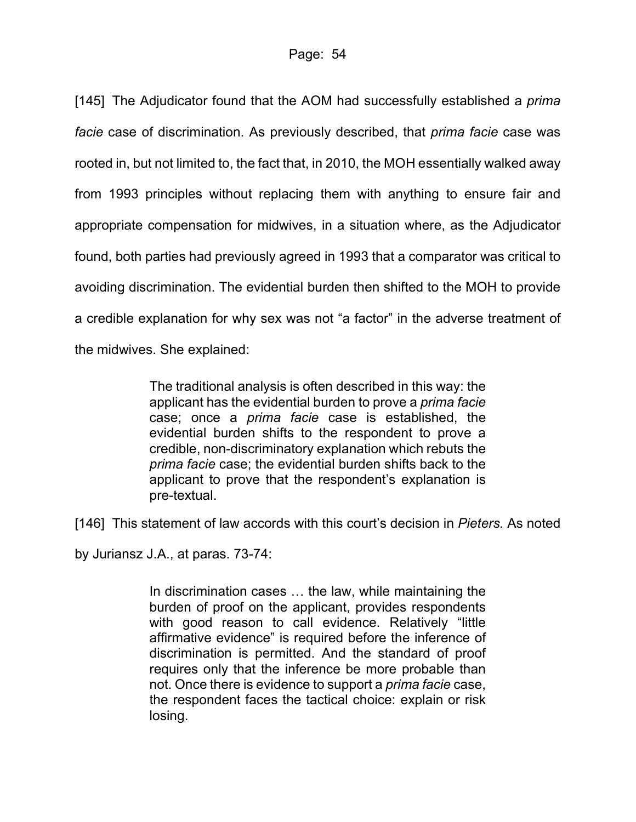[145] The Adjudicator found that the AOM had successfully established a *prima facie* case of discrimination. As previously described, that *prima facie* case was rooted in, but not limited to, the fact that, in 2010, the MOH essentially walked away from 1993 principles without replacing them with anything to ensure fair and appropriate compensation for midwives, in a situation where, as the Adjudicator found, both parties had previously agreed in 1993 that a comparator was critical to avoiding discrimination. The evidential burden then shifted to the MOH to provide a credible explanation for why sex was not "a factor" in the adverse treatment of the midwives. She explained:

> The traditional analysis is often described in this way: the applicant has the evidential burden to prove a *prima facie* case; once a *prima facie* case is established, the evidential burden shifts to the respondent to prove a credible, non-discriminatory explanation which rebuts the *prima facie* case; the evidential burden shifts back to the applicant to prove that the respondent's explanation is pre-textual.

[146] This statement of law accords with this court's decision in *Pieters.* As noted

by Juriansz J.A., at paras. 73-74:

In discrimination cases … the law, while maintaining the burden of proof on the applicant, provides respondents with good reason to call evidence. Relatively "little affirmative evidence" is required before the inference of discrimination is permitted. And the standard of proof requires only that the inference be more probable than not. Once there is evidence to support a *prima facie* case, the respondent faces the tactical choice: explain or risk losing.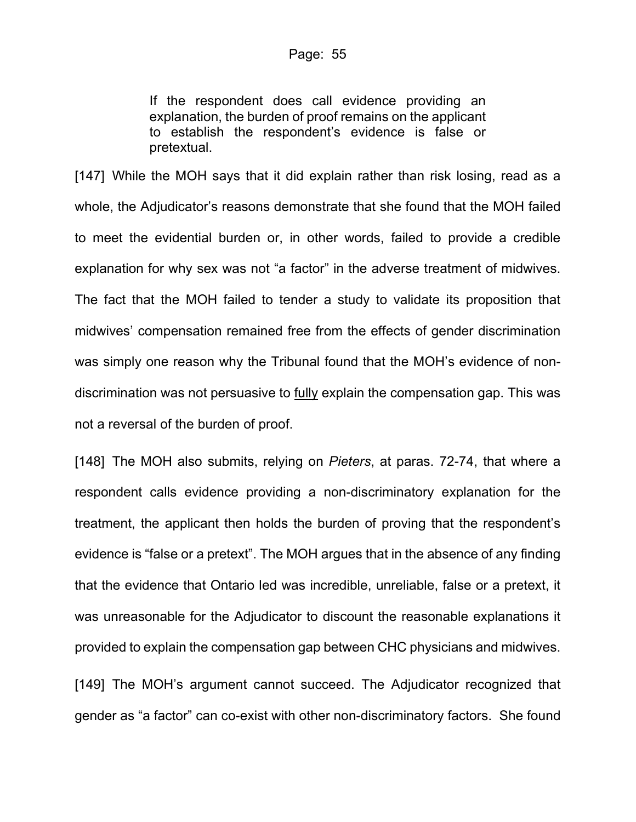If the respondent does call evidence providing an explanation, the burden of proof remains on the applicant to establish the respondent's evidence is false or pretextual.

[147] While the MOH says that it did explain rather than risk losing, read as a whole, the Adjudicator's reasons demonstrate that she found that the MOH failed to meet the evidential burden or, in other words, failed to provide a credible explanation for why sex was not "a factor" in the adverse treatment of midwives. The fact that the MOH failed to tender a study to validate its proposition that midwives' compensation remained free from the effects of gender discrimination was simply one reason why the Tribunal found that the MOH's evidence of nondiscrimination was not persuasive to fully explain the compensation gap. This was not a reversal of the burden of proof.

[148] The MOH also submits, relying on *Pieters*, at paras. 72-74, that where a respondent calls evidence providing a non-discriminatory explanation for the treatment, the applicant then holds the burden of proving that the respondent's evidence is "false or a pretext". The MOH argues that in the absence of any finding that the evidence that Ontario led was incredible, unreliable, false or a pretext, it was unreasonable for the Adjudicator to discount the reasonable explanations it provided to explain the compensation gap between CHC physicians and midwives. [149] The MOH's argument cannot succeed. The Adjudicator recognized that gender as "a factor" can co-exist with other non-discriminatory factors. She found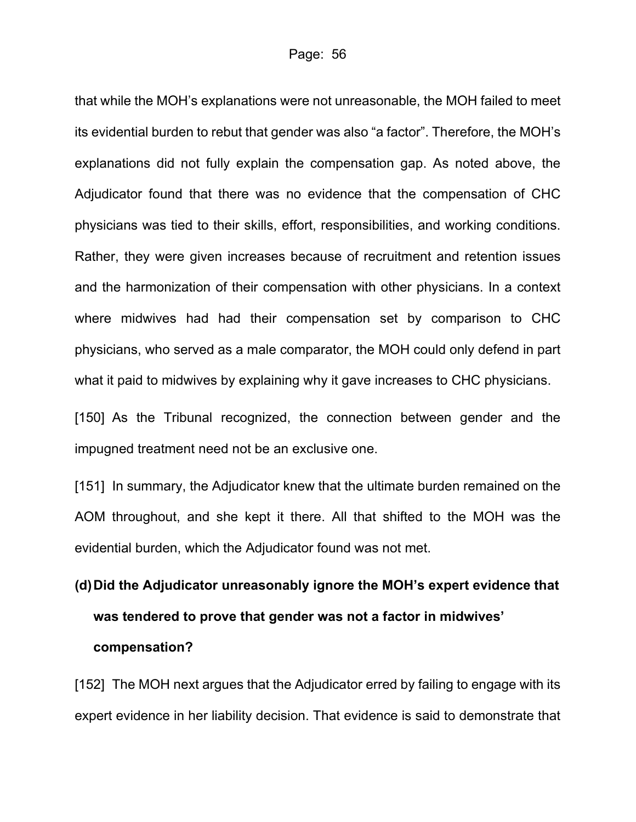that while the MOH's explanations were not unreasonable, the MOH failed to meet its evidential burden to rebut that gender was also "a factor". Therefore, the MOH's explanations did not fully explain the compensation gap. As noted above, the Adjudicator found that there was no evidence that the compensation of CHC physicians was tied to their skills, effort, responsibilities, and working conditions. Rather, they were given increases because of recruitment and retention issues and the harmonization of their compensation with other physicians. In a context where midwives had had their compensation set by comparison to CHC physicians, who served as a male comparator, the MOH could only defend in part what it paid to midwives by explaining why it gave increases to CHC physicians.

[150] As the Tribunal recognized, the connection between gender and the impugned treatment need not be an exclusive one.

[151] In summary, the Adjudicator knew that the ultimate burden remained on the AOM throughout, and she kept it there. All that shifted to the MOH was the evidential burden, which the Adjudicator found was not met.

# **(d)Did the Adjudicator unreasonably ignore the MOH's expert evidence that was tendered to prove that gender was not a factor in midwives' compensation?**

[152] The MOH next argues that the Adjudicator erred by failing to engage with its expert evidence in her liability decision. That evidence is said to demonstrate that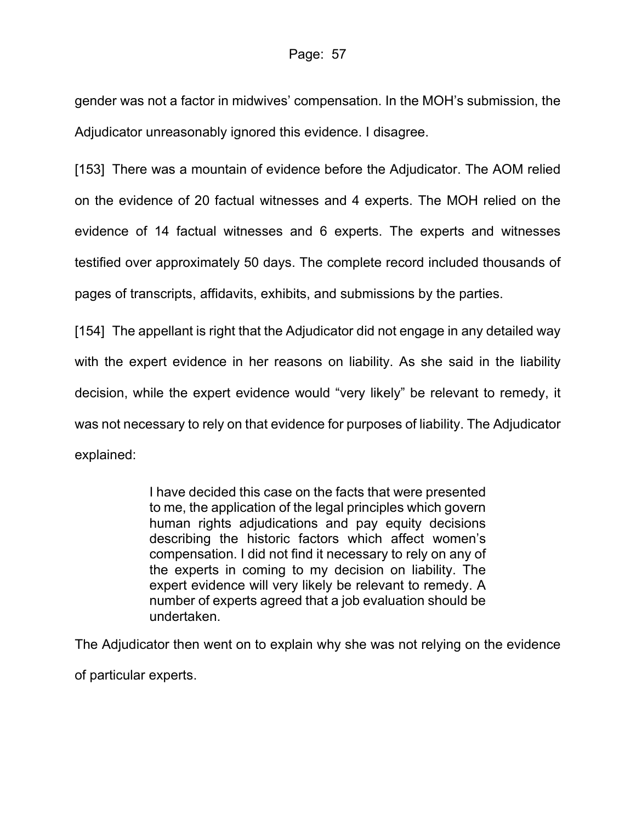gender was not a factor in midwives' compensation. In the MOH's submission, the Adjudicator unreasonably ignored this evidence. I disagree.

[153] There was a mountain of evidence before the Adjudicator. The AOM relied on the evidence of 20 factual witnesses and 4 experts. The MOH relied on the evidence of 14 factual witnesses and 6 experts. The experts and witnesses testified over approximately 50 days. The complete record included thousands of pages of transcripts, affidavits, exhibits, and submissions by the parties.

[154] The appellant is right that the Adjudicator did not engage in any detailed way with the expert evidence in her reasons on liability. As she said in the liability decision, while the expert evidence would "very likely" be relevant to remedy, it was not necessary to rely on that evidence for purposes of liability. The Adjudicator explained:

> I have decided this case on the facts that were presented to me, the application of the legal principles which govern human rights adjudications and pay equity decisions describing the historic factors which affect women's compensation. I did not find it necessary to rely on any of the experts in coming to my decision on liability. The expert evidence will very likely be relevant to remedy. A number of experts agreed that a job evaluation should be undertaken.

The Adjudicator then went on to explain why she was not relying on the evidence

of particular experts.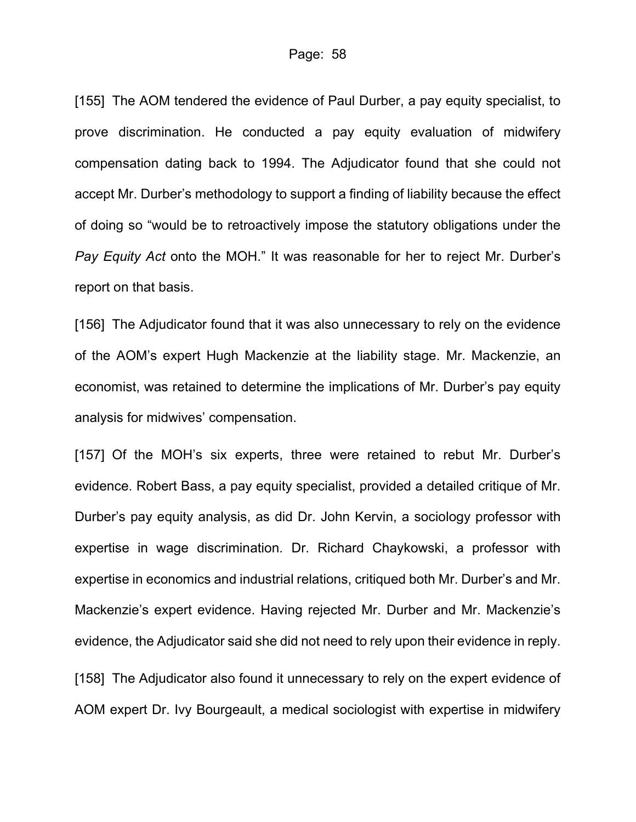[155] The AOM tendered the evidence of Paul Durber, a pay equity specialist, to prove discrimination. He conducted a pay equity evaluation of midwifery compensation dating back to 1994. The Adjudicator found that she could not accept Mr. Durber's methodology to support a finding of liability because the effect of doing so "would be to retroactively impose the statutory obligations under the *Pay Equity Act* onto the MOH." It was reasonable for her to reject Mr. Durber's report on that basis.

[156] The Adjudicator found that it was also unnecessary to rely on the evidence of the AOM's expert Hugh Mackenzie at the liability stage. Mr. Mackenzie, an economist, was retained to determine the implications of Mr. Durber's pay equity analysis for midwives' compensation.

[157] Of the MOH's six experts, three were retained to rebut Mr. Durber's evidence. Robert Bass, a pay equity specialist, provided a detailed critique of Mr. Durber's pay equity analysis, as did Dr. John Kervin, a sociology professor with expertise in wage discrimination. Dr. Richard Chaykowski, a professor with expertise in economics and industrial relations, critiqued both Mr. Durber's and Mr. Mackenzie's expert evidence. Having rejected Mr. Durber and Mr. Mackenzie's evidence, the Adjudicator said she did not need to rely upon their evidence in reply.

[158] The Adjudicator also found it unnecessary to rely on the expert evidence of AOM expert Dr. Ivy Bourgeault, a medical sociologist with expertise in midwifery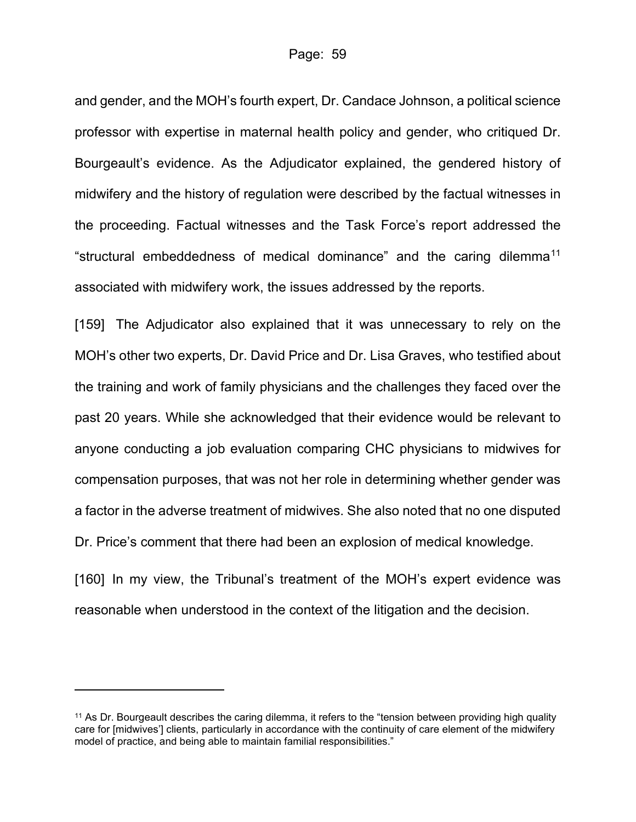and gender, and the MOH's fourth expert, Dr. Candace Johnson, a political science professor with expertise in maternal health policy and gender, who critiqued Dr. Bourgeault's evidence. As the Adjudicator explained, the gendered history of midwifery and the history of regulation were described by the factual witnesses in the proceeding. Factual witnesses and the Task Force's report addressed the "structural embeddedness of medical dominance" and the caring dilemma<sup>[11](#page-58-0)</sup> associated with midwifery work, the issues addressed by the reports.

[159] The Adjudicator also explained that it was unnecessary to rely on the MOH's other two experts, Dr. David Price and Dr. Lisa Graves, who testified about the training and work of family physicians and the challenges they faced over the past 20 years. While she acknowledged that their evidence would be relevant to anyone conducting a job evaluation comparing CHC physicians to midwives for compensation purposes, that was not her role in determining whether gender was a factor in the adverse treatment of midwives. She also noted that no one disputed Dr. Price's comment that there had been an explosion of medical knowledge.

[160] In my view, the Tribunal's treatment of the MOH's expert evidence was reasonable when understood in the context of the litigation and the decision.

<span id="page-58-0"></span><sup>&</sup>lt;sup>11</sup> As Dr. Bourgeault describes the caring dilemma, it refers to the "tension between providing high quality care for [midwives'] clients, particularly in accordance with the continuity of care element of the midwifery model of practice, and being able to maintain familial responsibilities."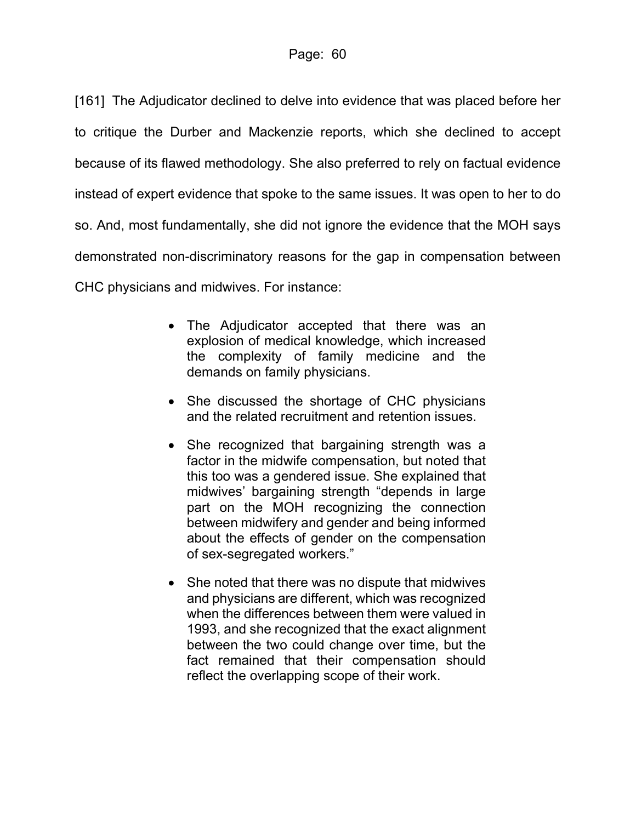[161] The Adjudicator declined to delve into evidence that was placed before her to critique the Durber and Mackenzie reports, which she declined to accept because of its flawed methodology. She also preferred to rely on factual evidence instead of expert evidence that spoke to the same issues. It was open to her to do so. And, most fundamentally, she did not ignore the evidence that the MOH says demonstrated non-discriminatory reasons for the gap in compensation between CHC physicians and midwives. For instance:

- The Adjudicator accepted that there was an explosion of medical knowledge, which increased the complexity of family medicine and the demands on family physicians.
- She discussed the shortage of CHC physicians and the related recruitment and retention issues.
- She recognized that bargaining strength was a factor in the midwife compensation, but noted that this too was a gendered issue. She explained that midwives' bargaining strength "depends in large part on the MOH recognizing the connection between midwifery and gender and being informed about the effects of gender on the compensation of sex-segregated workers."
- She noted that there was no dispute that midwives and physicians are different, which was recognized when the differences between them were valued in 1993, and she recognized that the exact alignment between the two could change over time, but the fact remained that their compensation should reflect the overlapping scope of their work.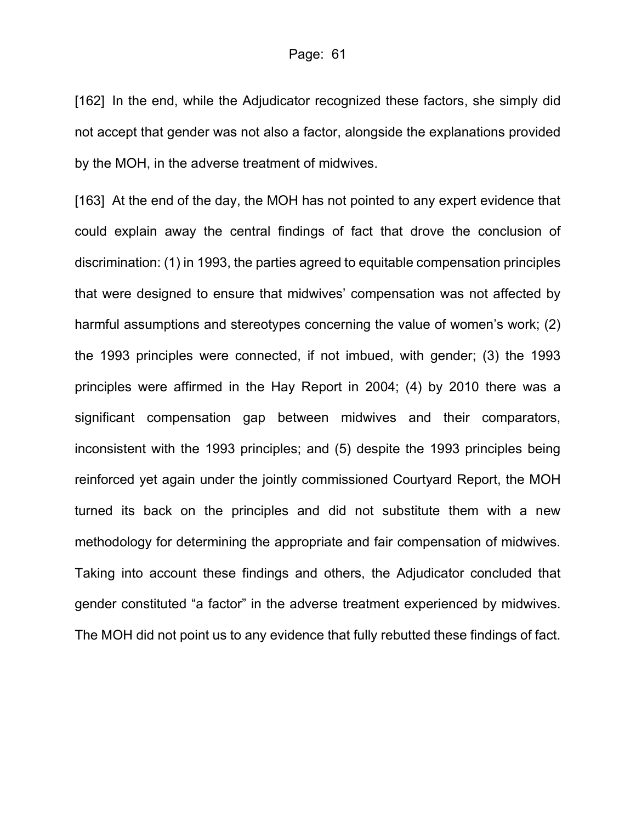[162] In the end, while the Adjudicator recognized these factors, she simply did not accept that gender was not also a factor, alongside the explanations provided by the MOH, in the adverse treatment of midwives.

[163] At the end of the day, the MOH has not pointed to any expert evidence that could explain away the central findings of fact that drove the conclusion of discrimination: (1) in 1993, the parties agreed to equitable compensation principles that were designed to ensure that midwives' compensation was not affected by harmful assumptions and stereotypes concerning the value of women's work; (2) the 1993 principles were connected, if not imbued, with gender; (3) the 1993 principles were affirmed in the Hay Report in 2004; (4) by 2010 there was a significant compensation gap between midwives and their comparators, inconsistent with the 1993 principles; and (5) despite the 1993 principles being reinforced yet again under the jointly commissioned Courtyard Report, the MOH turned its back on the principles and did not substitute them with a new methodology for determining the appropriate and fair compensation of midwives. Taking into account these findings and others, the Adjudicator concluded that gender constituted "a factor" in the adverse treatment experienced by midwives. The MOH did not point us to any evidence that fully rebutted these findings of fact.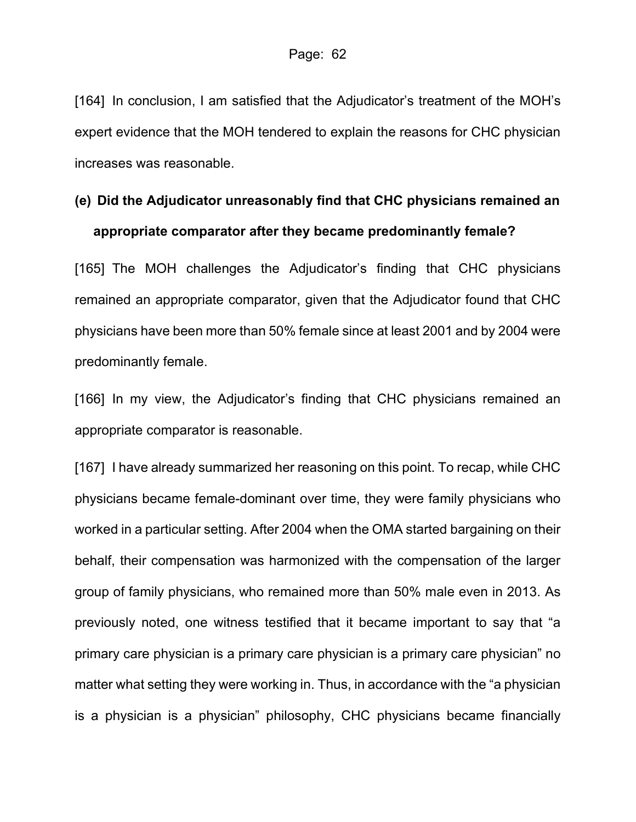[164] In conclusion, I am satisfied that the Adjudicator's treatment of the MOH's expert evidence that the MOH tendered to explain the reasons for CHC physician increases was reasonable.

## **(e) Did the Adjudicator unreasonably find that CHC physicians remained an appropriate comparator after they became predominantly female?**

[165] The MOH challenges the Adjudicator's finding that CHC physicians remained an appropriate comparator, given that the Adjudicator found that CHC physicians have been more than 50% female since at least 2001 and by 2004 were predominantly female.

[166] In my view, the Adjudicator's finding that CHC physicians remained an appropriate comparator is reasonable.

[167] I have already summarized her reasoning on this point. To recap, while CHC physicians became female-dominant over time, they were family physicians who worked in a particular setting. After 2004 when the OMA started bargaining on their behalf, their compensation was harmonized with the compensation of the larger group of family physicians, who remained more than 50% male even in 2013. As previously noted, one witness testified that it became important to say that "a primary care physician is a primary care physician is a primary care physician" no matter what setting they were working in. Thus, in accordance with the "a physician is a physician is a physician" philosophy, CHC physicians became financially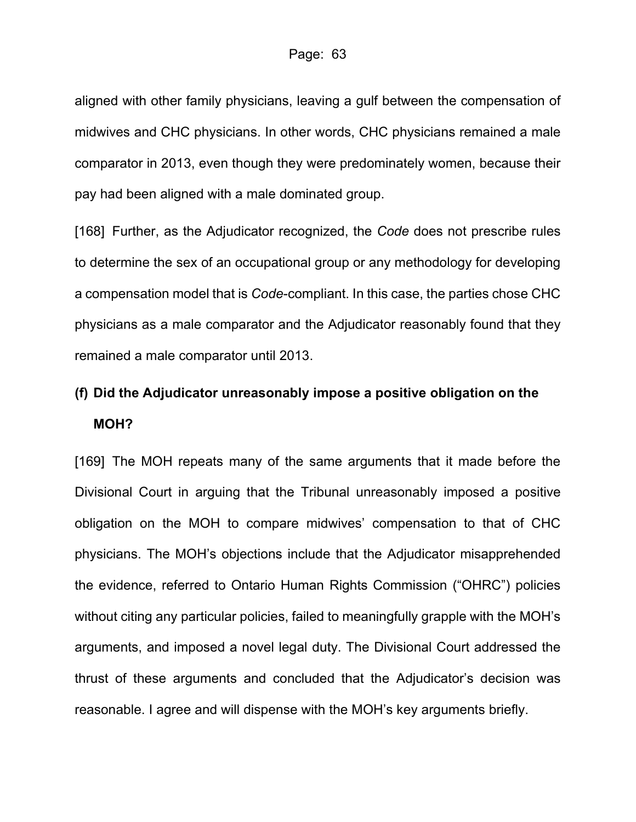aligned with other family physicians, leaving a gulf between the compensation of midwives and CHC physicians. In other words, CHC physicians remained a male comparator in 2013, even though they were predominately women, because their pay had been aligned with a male dominated group.

[168] Further, as the Adjudicator recognized, the *Code* does not prescribe rules to determine the sex of an occupational group or any methodology for developing a compensation model that is *Code*-compliant. In this case, the parties chose CHC physicians as a male comparator and the Adjudicator reasonably found that they remained a male comparator until 2013.

### **(f) Did the Adjudicator unreasonably impose a positive obligation on the MOH?**

[169] The MOH repeats many of the same arguments that it made before the Divisional Court in arguing that the Tribunal unreasonably imposed a positive obligation on the MOH to compare midwives' compensation to that of CHC physicians. The MOH's objections include that the Adjudicator misapprehended the evidence, referred to Ontario Human Rights Commission ("OHRC") policies without citing any particular policies, failed to meaningfully grapple with the MOH's arguments, and imposed a novel legal duty. The Divisional Court addressed the thrust of these arguments and concluded that the Adjudicator's decision was reasonable. I agree and will dispense with the MOH's key arguments briefly.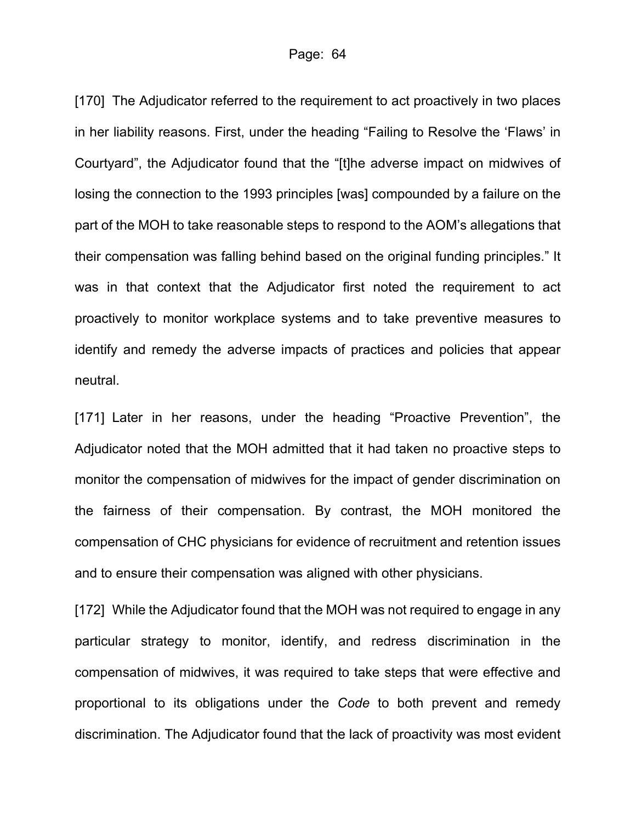[170] The Adjudicator referred to the requirement to act proactively in two places in her liability reasons. First, under the heading "Failing to Resolve the 'Flaws' in Courtyard", the Adjudicator found that the "[t]he adverse impact on midwives of losing the connection to the 1993 principles [was] compounded by a failure on the part of the MOH to take reasonable steps to respond to the AOM's allegations that their compensation was falling behind based on the original funding principles." It was in that context that the Adjudicator first noted the requirement to act proactively to monitor workplace systems and to take preventive measures to identify and remedy the adverse impacts of practices and policies that appear neutral.

[171] Later in her reasons, under the heading "Proactive Prevention", the Adjudicator noted that the MOH admitted that it had taken no proactive steps to monitor the compensation of midwives for the impact of gender discrimination on the fairness of their compensation. By contrast, the MOH monitored the compensation of CHC physicians for evidence of recruitment and retention issues and to ensure their compensation was aligned with other physicians.

[172] While the Adjudicator found that the MOH was not required to engage in any particular strategy to monitor, identify, and redress discrimination in the compensation of midwives, it was required to take steps that were effective and proportional to its obligations under the *Code* to both prevent and remedy discrimination. The Adjudicator found that the lack of proactivity was most evident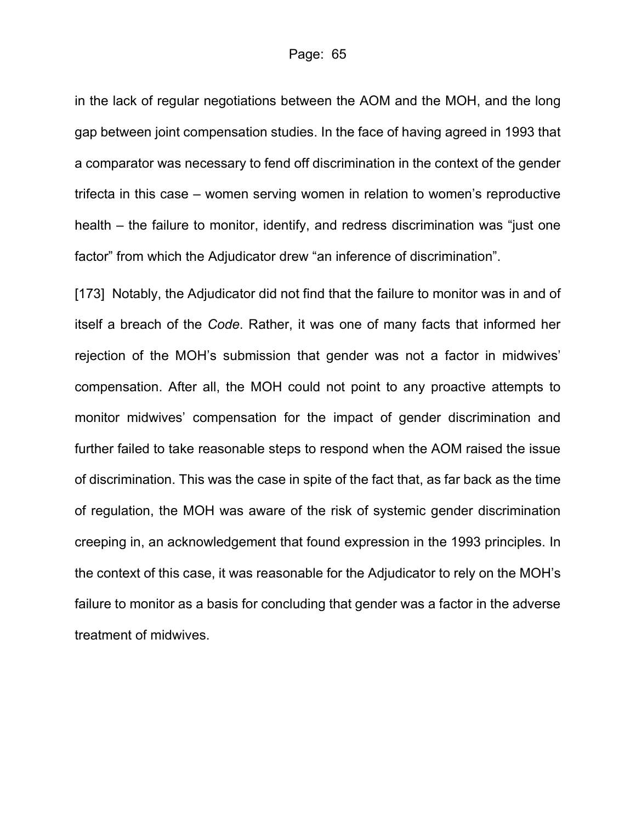in the lack of regular negotiations between the AOM and the MOH, and the long gap between joint compensation studies. In the face of having agreed in 1993 that a comparator was necessary to fend off discrimination in the context of the gender trifecta in this case – women serving women in relation to women's reproductive health – the failure to monitor, identify, and redress discrimination was "just one factor" from which the Adjudicator drew "an inference of discrimination".

[173] Notably, the Adjudicator did not find that the failure to monitor was in and of itself a breach of the *Code*. Rather, it was one of many facts that informed her rejection of the MOH's submission that gender was not a factor in midwives' compensation. After all, the MOH could not point to any proactive attempts to monitor midwives' compensation for the impact of gender discrimination and further failed to take reasonable steps to respond when the AOM raised the issue of discrimination. This was the case in spite of the fact that, as far back as the time of regulation, the MOH was aware of the risk of systemic gender discrimination creeping in, an acknowledgement that found expression in the 1993 principles. In the context of this case, it was reasonable for the Adjudicator to rely on the MOH's failure to monitor as a basis for concluding that gender was a factor in the adverse treatment of midwives.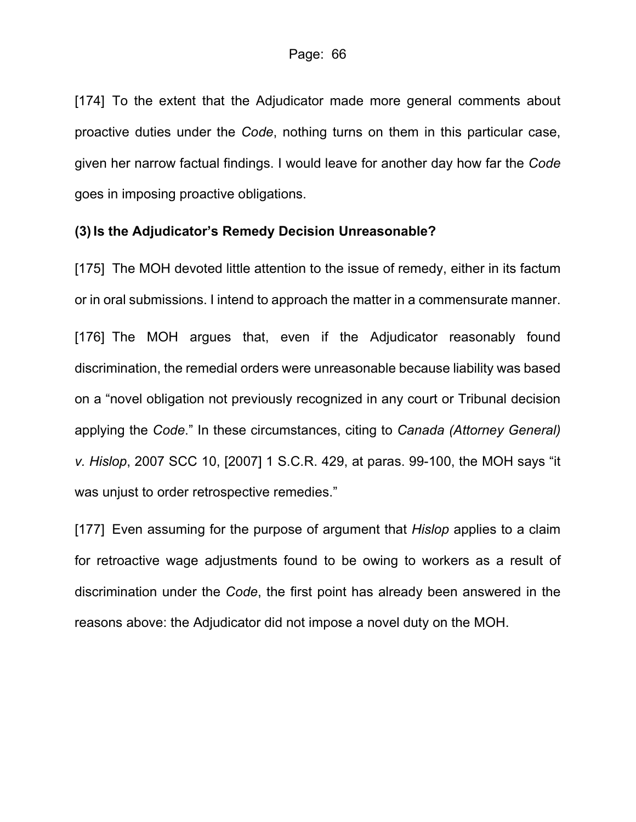[174] To the extent that the Adjudicator made more general comments about proactive duties under the *Code*, nothing turns on them in this particular case, given her narrow factual findings. I would leave for another day how far the *Code* goes in imposing proactive obligations.

#### **(3) Is the Adjudicator's Remedy Decision Unreasonable?**

[175] The MOH devoted little attention to the issue of remedy, either in its factum or in oral submissions. I intend to approach the matter in a commensurate manner. [176] The MOH argues that, even if the Adjudicator reasonably found discrimination, the remedial orders were unreasonable because liability was based on a "novel obligation not previously recognized in any court or Tribunal decision applying the *Code*." In these circumstances, citing to *Canada (Attorney General) v. Hislop*, 2007 SCC 10, [2007] 1 S.C.R. 429, at paras. 99-100, the MOH says "it was unjust to order retrospective remedies."

[177] Even assuming for the purpose of argument that *Hislop* applies to a claim for retroactive wage adjustments found to be owing to workers as a result of discrimination under the *Code*, the first point has already been answered in the reasons above: the Adjudicator did not impose a novel duty on the MOH.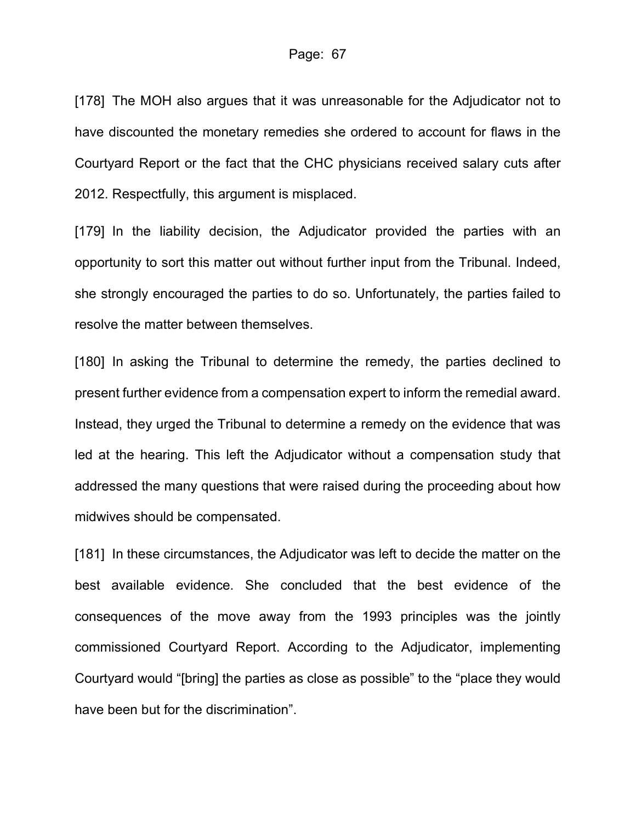[178] The MOH also argues that it was unreasonable for the Adjudicator not to have discounted the monetary remedies she ordered to account for flaws in the Courtyard Report or the fact that the CHC physicians received salary cuts after 2012. Respectfully, this argument is misplaced.

[179] In the liability decision, the Adjudicator provided the parties with an opportunity to sort this matter out without further input from the Tribunal. Indeed, she strongly encouraged the parties to do so. Unfortunately, the parties failed to resolve the matter between themselves.

[180] In asking the Tribunal to determine the remedy, the parties declined to present further evidence from a compensation expert to inform the remedial award. Instead, they urged the Tribunal to determine a remedy on the evidence that was led at the hearing. This left the Adjudicator without a compensation study that addressed the many questions that were raised during the proceeding about how midwives should be compensated.

[181] In these circumstances, the Adjudicator was left to decide the matter on the best available evidence. She concluded that the best evidence of the consequences of the move away from the 1993 principles was the jointly commissioned Courtyard Report. According to the Adjudicator, implementing Courtyard would "[bring] the parties as close as possible" to the "place they would have been but for the discrimination".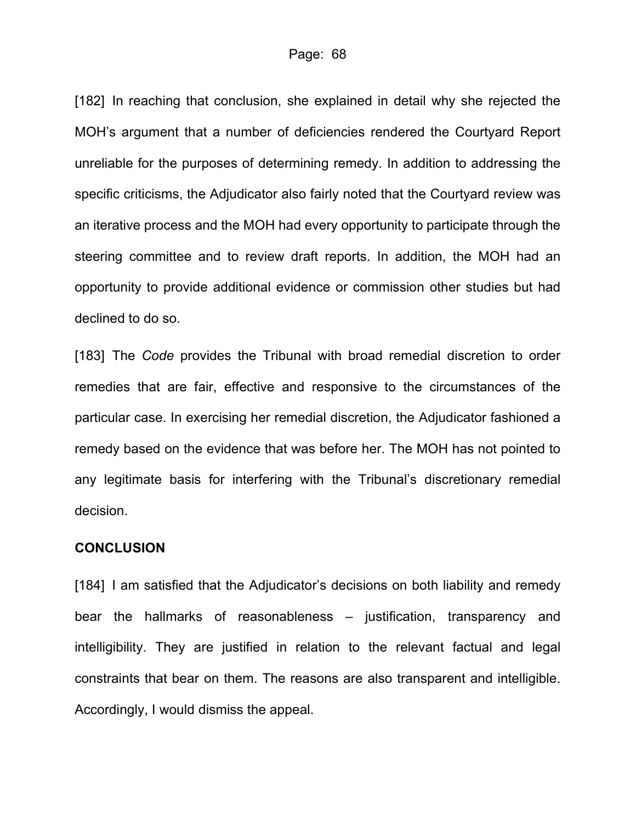[182] In reaching that conclusion, she explained in detail why she rejected the MOH's argument that a number of deficiencies rendered the Courtyard Report unreliable for the purposes of determining remedy. In addition to addressing the specific criticisms, the Adjudicator also fairly noted that the Courtyard review was an iterative process and the MOH had every opportunity to participate through the steering committee and to review draft reports. In addition, the MOH had an opportunity to provide additional evidence or commission other studies but had declined to do so.

[183] The *Code* provides the Tribunal with broad remedial discretion to order remedies that are fair, effective and responsive to the circumstances of the particular case. In exercising her remedial discretion, the Adjudicator fashioned a remedy based on the evidence that was before her. The MOH has not pointed to any legitimate basis for interfering with the Tribunal's discretionary remedial decision.

#### **CONCLUSION**

[184] I am satisfied that the Adjudicator's decisions on both liability and remedy bear the hallmarks of reasonableness – justification, transparency and intelligibility. They are justified in relation to the relevant factual and legal constraints that bear on them. The reasons are also transparent and intelligible. Accordingly, I would dismiss the appeal.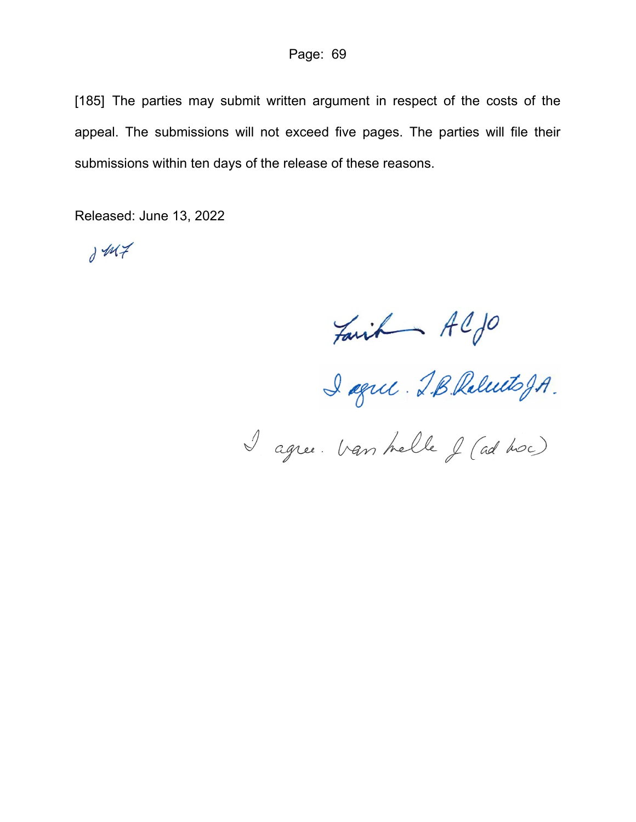[185] The parties may submit written argument in respect of the costs of the appeal. The submissions will not exceed five pages. The parties will file their submissions within ten days of the release of these reasons.

Released: June 13, 2022

 $1447$ 

Fait Aljo<br>I agree. Van helle J (ad hoc)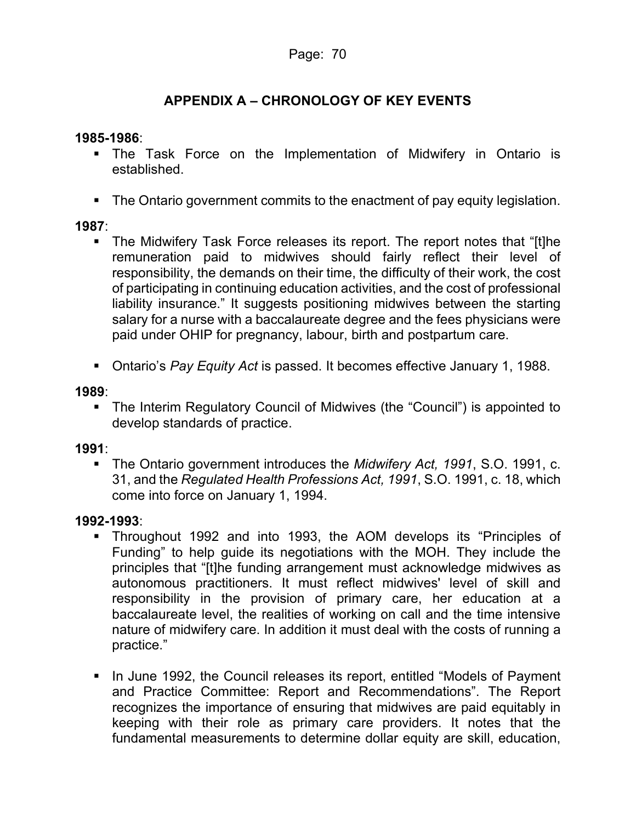### **APPENDIX A – CHRONOLOGY OF KEY EVENTS**

#### **1985-1986**:

- The Task Force on the Implementation of Midwifery in Ontario is established.
- The Ontario government commits to the enactment of pay equity legislation.

#### **1987**:

- The Midwifery Task Force releases its report. The report notes that "[t]he remuneration paid to midwives should fairly reflect their level of responsibility, the demands on their time, the difficulty of their work, the cost of participating in continuing education activities, and the cost of professional liability insurance." It suggests positioning midwives between the starting salary for a nurse with a baccalaureate degree and the fees physicians were paid under OHIP for pregnancy, labour, birth and postpartum care.
- Ontario's *Pay Equity Act* is passed. It becomes effective January 1, 1988.

#### **1989**:

 The Interim Regulatory Council of Midwives (the "Council") is appointed to develop standards of practice.

#### **1991**:

 The Ontario government introduces the *Midwifery Act, 1991*, S.O. 1991, c. 31, and the *Regulated Health Professions Act, 1991*, S.O. 1991, c. 18, which come into force on January 1, 1994.

#### **1992-1993**:

- Throughout 1992 and into 1993, the AOM develops its "Principles of Funding" to help guide its negotiations with the MOH. They include the principles that "[t]he funding arrangement must acknowledge midwives as autonomous practitioners. It must reflect midwives' level of skill and responsibility in the provision of primary care, her education at a baccalaureate level, the realities of working on call and the time intensive nature of midwifery care. In addition it must deal with the costs of running a practice."
- In June 1992, the Council releases its report, entitled "Models of Payment and Practice Committee: Report and Recommendations". The Report recognizes the importance of ensuring that midwives are paid equitably in keeping with their role as primary care providers. It notes that the fundamental measurements to determine dollar equity are skill, education,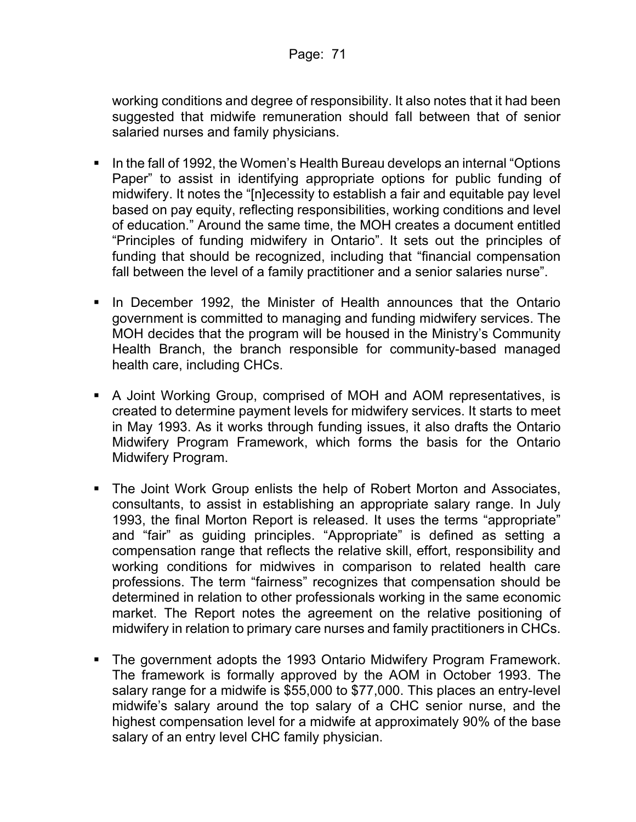working conditions and degree of responsibility. It also notes that it had been suggested that midwife remuneration should fall between that of senior salaried nurses and family physicians.

- In the fall of 1992, the Women's Health Bureau develops an internal "Options Paper" to assist in identifying appropriate options for public funding of midwifery. It notes the "[n]ecessity to establish a fair and equitable pay level based on pay equity, reflecting responsibilities, working conditions and level of education." Around the same time, the MOH creates a document entitled "Principles of funding midwifery in Ontario". It sets out the principles of funding that should be recognized, including that "financial compensation fall between the level of a family practitioner and a senior salaries nurse".
- **IF In December 1992, the Minister of Health announces that the Ontario** government is committed to managing and funding midwifery services. The MOH decides that the program will be housed in the Ministry's Community Health Branch, the branch responsible for community-based managed health care, including CHCs.
- A Joint Working Group, comprised of MOH and AOM representatives, is created to determine payment levels for midwifery services. It starts to meet in May 1993. As it works through funding issues, it also drafts the Ontario Midwifery Program Framework, which forms the basis for the Ontario Midwifery Program.
- The Joint Work Group enlists the help of Robert Morton and Associates, consultants, to assist in establishing an appropriate salary range. In July 1993, the final Morton Report is released. It uses the terms "appropriate" and "fair" as guiding principles. "Appropriate" is defined as setting a compensation range that reflects the relative skill, effort, responsibility and working conditions for midwives in comparison to related health care professions. The term "fairness" recognizes that compensation should be determined in relation to other professionals working in the same economic market. The Report notes the agreement on the relative positioning of midwifery in relation to primary care nurses and family practitioners in CHCs.
- The government adopts the 1993 Ontario Midwifery Program Framework. The framework is formally approved by the AOM in October 1993. The salary range for a midwife is \$55,000 to \$77,000. This places an entry-level midwife's salary around the top salary of a CHC senior nurse, and the highest compensation level for a midwife at approximately 90% of the base salary of an entry level CHC family physician.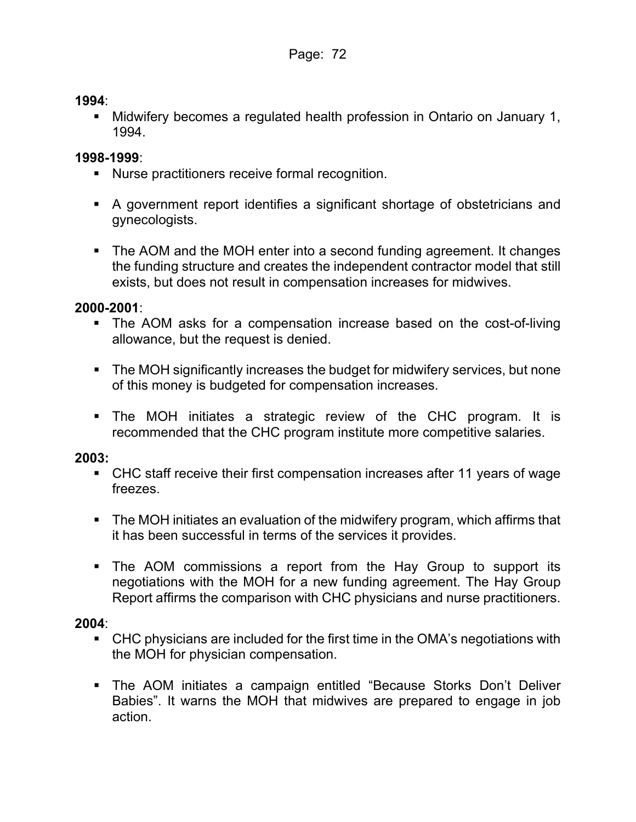#### **1994**:

 Midwifery becomes a regulated health profession in Ontario on January 1, 1994.

#### **1998-1999**:

- Nurse practitioners receive formal recognition.
- A government report identifies a significant shortage of obstetricians and gynecologists.
- The AOM and the MOH enter into a second funding agreement. It changes the funding structure and creates the independent contractor model that still exists, but does not result in compensation increases for midwives.

#### **2000-2001**:

- The AOM asks for a compensation increase based on the cost-of-living allowance, but the request is denied.
- The MOH significantly increases the budget for midwifery services, but none of this money is budgeted for compensation increases.
- The MOH initiates a strategic review of the CHC program. It is recommended that the CHC program institute more competitive salaries.

#### **2003:**

- CHC staff receive their first compensation increases after 11 years of wage freezes.
- The MOH initiates an evaluation of the midwifery program, which affirms that it has been successful in terms of the services it provides.
- The AOM commissions a report from the Hay Group to support its negotiations with the MOH for a new funding agreement. The Hay Group Report affirms the comparison with CHC physicians and nurse practitioners.

#### **2004**:

- CHC physicians are included for the first time in the OMA's negotiations with the MOH for physician compensation.
- The AOM initiates a campaign entitled "Because Storks Don't Deliver Babies". It warns the MOH that midwives are prepared to engage in job action.